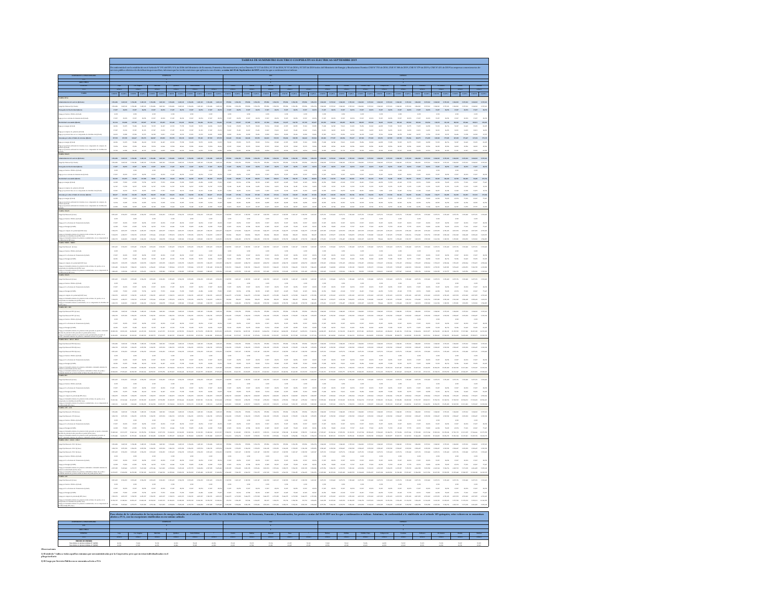|                                                                                                                                                        | TARIFAS DE SUMINISTRO ELECTRICO COOPERATIVAS ELECTRICAS SEPTIEMBRE 2019 |                                                                                                                |                                                                                   |                                                    |                                                                                                                                                                                  |                                                                                                                                                                                                                                                                                                                                            |                          |                                                                         |                                         |                                                                                                                                                                                                                                                                                                                                                         |                                                                                                                                                                                                                                                                                                                                                                                                                                                                                                                         |                                                                                                                                                                            |                                                                                                                                                                                                                                      |                                     |                 |                   |                |                                    |                                                                                                                                                                                                                                                                                                                                                                                                                                          |                              |          |
|--------------------------------------------------------------------------------------------------------------------------------------------------------|-------------------------------------------------------------------------|----------------------------------------------------------------------------------------------------------------|-----------------------------------------------------------------------------------|----------------------------------------------------|----------------------------------------------------------------------------------------------------------------------------------------------------------------------------------|--------------------------------------------------------------------------------------------------------------------------------------------------------------------------------------------------------------------------------------------------------------------------------------------------------------------------------------------|--------------------------|-------------------------------------------------------------------------|-----------------------------------------|---------------------------------------------------------------------------------------------------------------------------------------------------------------------------------------------------------------------------------------------------------------------------------------------------------------------------------------------------------|-------------------------------------------------------------------------------------------------------------------------------------------------------------------------------------------------------------------------------------------------------------------------------------------------------------------------------------------------------------------------------------------------------------------------------------------------------------------------------------------------------------------------|----------------------------------------------------------------------------------------------------------------------------------------------------------------------------|--------------------------------------------------------------------------------------------------------------------------------------------------------------------------------------------------------------------------------------|-------------------------------------|-----------------|-------------------|----------------|------------------------------------|------------------------------------------------------------------------------------------------------------------------------------------------------------------------------------------------------------------------------------------------------------------------------------------------------------------------------------------------------------------------------------------------------------------------------------------|------------------------------|----------|
|                                                                                                                                                        |                                                                         | nto y Reconstrucción y en los Decretos Nº 11T de 2016<br>101, a contar del 01 de Septiembre de 2019, serán las |                                                                                   |                                                    |                                                                                                                                                                                  |                                                                                                                                                                                                                                                                                                                                            |                          |                                                                         |                                         |                                                                                                                                                                                                                                                                                                                                                         |                                                                                                                                                                                                                                                                                                                                                                                                                                                                                                                         |                                                                                                                                                                            |                                                                                                                                                                                                                                      |                                     |                 |                   |                |                                    |                                                                                                                                                                                                                                                                                                                                                                                                                                          |                              |          |
|                                                                                                                                                        |                                                                         |                                                                                                                |                                                                                   |                                                    |                                                                                                                                                                                  |                                                                                                                                                                                                                                                                                                                                            |                          |                                                                         |                                         |                                                                                                                                                                                                                                                                                                                                                         |                                                                                                                                                                                                                                                                                                                                                                                                                                                                                                                         |                                                                                                                                                                            |                                                                                                                                                                                                                                      |                                     |                 |                   |                |                                    |                                                                                                                                                                                                                                                                                                                                                                                                                                          |                              |          |
|                                                                                                                                                        |                                                                         |                                                                                                                |                                                                                   |                                                    |                                                                                                                                                                                  |                                                                                                                                                                                                                                                                                                                                            |                          |                                                                         |                                         |                                                                                                                                                                                                                                                                                                                                                         |                                                                                                                                                                                                                                                                                                                                                                                                                                                                                                                         |                                                                                                                                                                            |                                                                                                                                                                                                                                      |                                     |                 |                   |                |                                    |                                                                                                                                                                                                                                                                                                                                                                                                                                          |                              |          |
|                                                                                                                                                        |                                                                         |                                                                                                                |                                                                                   |                                                    |                                                                                                                                                                                  |                                                                                                                                                                                                                                                                                                                                            |                          |                                                                         |                                         |                                                                                                                                                                                                                                                                                                                                                         |                                                                                                                                                                                                                                                                                                                                                                                                                                                                                                                         |                                                                                                                                                                            |                                                                                                                                                                                                                                      |                                     |                 |                   |                |                                    |                                                                                                                                                                                                                                                                                                                                                                                                                                          |                              |          |
|                                                                                                                                                        |                                                                         |                                                                                                                |                                                                                   | NEED FIGHTA ENEED FIGHTA ENEED FIGHTA ENEED FIGHTA |                                                                                                                                                                                  |                                                                                                                                                                                                                                                                                                                                            |                          |                                                                         |                                         |                                                                                                                                                                                                                                                                                                                                                         |                                                                                                                                                                                                                                                                                                                                                                                                                                                                                                                         | ENTO EQWA EMITO EQWA ENTO EQUA EN                                                                                                                                          |                                                                                                                                                                                                                                      |                                     |                 |                   |                |                                    |                                                                                                                                                                                                                                                                                                                                                                                                                                          |                              |          |
|                                                                                                                                                        |                                                                         |                                                                                                                |                                                                                   |                                                    |                                                                                                                                                                                  |                                                                                                                                                                                                                                                                                                                                            |                          |                                                                         |                                         |                                                                                                                                                                                                                                                                                                                                                         |                                                                                                                                                                                                                                                                                                                                                                                                                                                                                                                         |                                                                                                                                                                            |                                                                                                                                                                                                                                      |                                     |                 |                   |                |                                    |                                                                                                                                                                                                                                                                                                                                                                                                                                          |                              |          |
| pote de l'invitation (Charle)                                                                                                                          |                                                                         |                                                                                                                |                                                                                   |                                                    |                                                                                                                                                                                  |                                                                                                                                                                                                                                                                                                                                            |                          |                                                                         |                                         |                                                                                                                                                                                                                                                                                                                                                         | $\label{eq:RMS} RMS = 149, 91, \quad RMS = 149, 91, \quad RMS = 149, 91, \quad RMS = 149, 91, \quad RMS = 149, 91, \quad RMS = 149, 91, \quad RMS = 149, 91, \quad RMS = 149, 91, \quad RMS = 149, 91, \quad RMS = 149, 91, \quad RMS = 149, 91, \quad RMS = 149, 91, \quad RMS = 149, 91, \quad RMS = 149, 91, \quad RMS = 149, 91, \quad RMS$                                                                                                                                                                         |                                                                                                                                                                            |                                                                                                                                                                                                                                      |                                     |                 |                   |                |                                    |                                                                                                                                                                                                                                                                                                                                                                                                                                          |                              |          |
| or brock Palm (View)                                                                                                                                   |                                                                         |                                                                                                                |                                                                                   |                                                    |                                                                                                                                                                                  | $^{4.362}$                                                                                                                                                                                                                                                                                                                                 | 6.MD                     | $\overline{a}$                                                          | 6.90                                    | and.                                                                                                                                                                                                                                                                                                                                                    | 630                                                                                                                                                                                                                                                                                                                                                                                                                                                                                                                     |                                                                                                                                                                            |                                                                                                                                                                                                                                      |                                     | $^{1.30}$       |                   | 630            |                                    |                                                                                                                                                                                                                                                                                                                                                                                                                                          | 4.90                         |          |
| .<br>Tanzania da barras de Transano                                                                                                                    |                                                                         | $20.25$ $20.07$ $20.25$                                                                                        | ner an                                                                            |                                                    | $\frac{1}{100} \begin{array}{ccc} 0.00 & 0.00 \\ 0.00 & 0.00 \\ \end{array}$<br>20.276                                                                                           | $_{\rm 25,657}$<br>20.2                                                                                                                                                                                                                                                                                                                    | 15.007<br><b>SERVICE</b> | $\mathbf{m}$<br>12.02                                                   | $n = 1$                                 | $_{\rm Edd}$<br>20.274                                                                                                                                                                                                                                                                                                                                  | $\sim$<br>$_{max}$                                                                                                                                                                                                                                                                                                                                                                                                                                                                                                      | $\frac{436}{436}$ $\qquad \qquad \frac{436}{436}$ $\qquad \qquad$                                                                                                          | $n_{\rm BH}$                                                                                                                                                                                                                         | $\frac{1}{100}$ . $\frac{1}{100}$   | $12.07 - 30.25$ | 1200              | 20.274         | $\frac{430}{4500}$<br>$\mathbf{m}$ | $\frac{400}{100}$                                                                                                                                                                                                                                                                                                                                                                                                                        | $\mathbf{r}$<br>$_{\rm Edd}$ | 20.274   |
| an anns Albert                                                                                                                                         |                                                                         |                                                                                                                |                                                                                   |                                                    |                                                                                                                                                                                  | mas mas must mas mas mas mas mas mas mas mas mas                                                                                                                                                                                                                                                                                           |                          |                                                                         |                                         |                                                                                                                                                                                                                                                                                                                                                         | $10580 \qquad 105887 \qquad 10548 \qquad 10570 \qquad 10586 \qquad 10588 \qquad 10537 \qquad 10570 \qquad 10588 \qquad 10588$                                                                                                                                                                                                                                                                                                                                                                                           |                                                                                                                                                                            |                                                                                                                                                                                                                                      |                                     |                 |                   |                |                                    |                                                                                                                                                                                                                                                                                                                                                                                                                                          |                              |          |
|                                                                                                                                                        |                                                                         |                                                                                                                |                                                                                   |                                                    |                                                                                                                                                                                  |                                                                                                                                                                                                                                                                                                                                            |                          |                                                                         |                                         |                                                                                                                                                                                                                                                                                                                                                         |                                                                                                                                                                                                                                                                                                                                                                                                                                                                                                                         |                                                                                                                                                                            |                                                                                                                                                                                                                                      |                                     |                 |                   |                |                                    |                                                                                                                                                                                                                                                                                                                                                                                                                                          |                              |          |
|                                                                                                                                                        |                                                                         | $10.00$ $27.204$<br>32.379                                                                                     | 3.50<br>72.00                                                                     | at an                                              | $13,22$ $22,30$<br>$_{\rm 0.02}$                                                                                                                                                 | 3.89<br>$10,00 \qquad 10,00 \qquad 10,00 \qquad 10,00 \qquad 10,00 \qquad 10,00 \qquad 10,00 \qquad 10,10 \qquad 10,00 \qquad 10,00 \qquad 10,00$                                                                                                                                                                                          | 12.30                    | Nov. 1030<br>$_{\rm X,fit}$                                             | $12.20 - 24.04$                         | 32,30<br>$_{\rm 5644}$                                                                                                                                                                                                                                                                                                                                  | $\overline{\mathbf{z}}$                                                                                                                                                                                                                                                                                                                                                                                                                                                                                                 |                                                                                                                                                                            |                                                                                                                                                                                                                                      |                                     |                 |                   |                |                                    |                                                                                                                                                                                                                                                                                                                                                                                                                                          |                              |          |
| <b>Park A. Span</b>                                                                                                                                    |                                                                         |                                                                                                                |                                                                                   |                                                    |                                                                                                                                                                                  |                                                                                                                                                                                                                                                                                                                                            |                          |                                                                         |                                         |                                                                                                                                                                                                                                                                                                                                                         |                                                                                                                                                                                                                                                                                                                                                                                                                                                                                                                         |                                                                                                                                                                            |                                                                                                                                                                                                                                      |                                     |                 |                   |                |                                    |                                                                                                                                                                                                                                                                                                                                                                                                                                          |                              |          |
| per potencia adicional de invierno en un componente de comp<br>la (fi/km))<br>per potencia adicional de invierno en un componente de diutri            |                                                                         |                                                                                                                |                                                                                   |                                                    |                                                                                                                                                                                  |                                                                                                                                                                                                                                                                                                                                            |                          |                                                                         |                                         |                                                                                                                                                                                                                                                                                                                                                         |                                                                                                                                                                                                                                                                                                                                                                                                                                                                                                                         |                                                                                                                                                                            |                                                                                                                                                                                                                                      |                                     |                 |                   |                |                                    |                                                                                                                                                                                                                                                                                                                                                                                                                                          |                              |          |
| as man                                                                                                                                                 |                                                                         |                                                                                                                |                                                                                   |                                                    |                                                                                                                                                                                  |                                                                                                                                                                                                                                                                                                                                            |                          |                                                                         |                                         |                                                                                                                                                                                                                                                                                                                                                         |                                                                                                                                                                                                                                                                                                                                                                                                                                                                                                                         |                                                                                                                                                                            |                                                                                                                                                                                                                                      |                                     |                 |                   |                |                                    |                                                                                                                                                                                                                                                                                                                                                                                                                                          |                              |          |
|                                                                                                                                                        |                                                                         |                                                                                                                |                                                                                   |                                                    |                                                                                                                                                                                  | .<br>1946 lagar linga lagar linga lagar linga lagar lagar lagar lingar lingar lagar<br>1940 lagar lingar lagar lagar lagar lingar lingar lagar lingar lingar lagar                                                                                                                                                                         |                          |                                                                         |                                         |                                                                                                                                                                                                                                                                                                                                                         | $\label{eq:RMS} \begin{minipage}{0.9\textwidth} \begin{minipage}{0.9\textwidth} \begin{minipage}{0.9\textwidth} \begin{minipage}{0.9\textwidth} \begin{minipage}{0.9\textwidth} \begin{minipage}{0.9\textwidth} \begin{minipage}{0.9\textwidth} \begin{minipage}{0.9\textwidth} \begin{minipage}{0.9\textwidth} \begin{minipage}{0.9\textwidth} \begin{minipage}{0.9\textwidth} \begin{minipage}{0.9\textwidth} \begin{minipage}{0.9\textwidth} \begin{minipage}{0.9\textwidth} \begin{minipage}{0.9\textwidth} \begin$ |                                                                                                                                                                            | .<br>The state there there there there there there there there there there there there there there there there ther<br>There there there there there there there there there there there there there there there there there there   |                                     |                 |                   |                |                                    |                                                                                                                                                                                                                                                                                                                                                                                                                                          |                              |          |
| porte de l'Inviticidad (Elisab)                                                                                                                        |                                                                         |                                                                                                                |                                                                                   |                                                    |                                                                                                                                                                                  | $\label{eq:1.1} \mathcal{E}(\theta) \qquad \text{R}(\theta) \qquad \mathcal{E}(\theta) \qquad \text{R}(\theta) \qquad \mathcal{E}(\theta) \qquad \text{R}(\theta) \qquad \text{R}(\theta) \qquad \text{R}(\theta) \qquad \text{R}(\theta) \qquad \text{R}(\theta) \qquad \text{R}(\theta) \qquad \text{R}(\theta) \qquad \text{R}(\theta)$ |                          |                                                                         |                                         |                                                                                                                                                                                                                                                                                                                                                         | $\mathcal{R}(\mathcal{R}^{\prime}) = 2025 \qquad \mathcal{R}(\mathcal{R}^{\prime}) = 2025 \qquad \mathcal{R}(\mathcal{R}^{\prime}) = 2025 \qquad \mathcal{R}(\mathcal{R}^{\prime}) = 2025 \qquad \mathcal{R}(\mathcal{R}^{\prime}) = 2025$                                                                                                                                                                                                                                                                              |                                                                                                                                                                            | that ages that ages ages ages that that ages that ages ages ages that ages ages ages that that                                                                                                                                       |                                     |                 |                   |                |                                    |                                                                                                                                                                                                                                                                                                                                                                                                                                          |                              |          |
| .<br>ppor Servicio Paldico (Vikeli)<br>por uno sintema de immenicio (E/Imi)                                                                            |                                                                         |                                                                                                                | $\frac{1}{100}$                                                                   |                                                    |                                                                                                                                                                                  |                                                                                                                                                                                                                                                                                                                                            |                          | $\frac{496}{4580} = \frac{1}{4649}$                                     | $\frac{436}{458} = \frac{1}{3648} \; .$ |                                                                                                                                                                                                                                                                                                                                                         |                                                                                                                                                                                                                                                                                                                                                                                                                                                                                                                         |                                                                                                                                                                            |                                                                                                                                                                                                                                      |                                     |                 |                   |                |                                    |                                                                                                                                                                                                                                                                                                                                                                                                                                          |                              |          |
|                                                                                                                                                        |                                                                         |                                                                                                                |                                                                                   |                                                    |                                                                                                                                                                                  |                                                                                                                                                                                                                                                                                                                                            |                          |                                                                         |                                         |                                                                                                                                                                                                                                                                                                                                                         |                                                                                                                                                                                                                                                                                                                                                                                                                                                                                                                         |                                                                                                                                                                            |                                                                                                                                                                                                                                      |                                     |                 |                   | $_{\rm{2024}}$ |                                    |                                                                                                                                                                                                                                                                                                                                                                                                                                          |                              |          |
| <b>Called concertify Pilothi</b><br><b>Parties America</b>                                                                                             |                                                                         |                                                                                                                |                                                                                   |                                                    |                                                                                                                                                                                  |                                                                                                                                                                                                                                                                                                                                            |                          |                                                                         |                                         |                                                                                                                                                                                                                                                                                                                                                         |                                                                                                                                                                                                                                                                                                                                                                                                                                                                                                                         |                                                                                                                                                                            |                                                                                                                                                                                                                                      |                                     |                 |                   |                |                                    |                                                                                                                                                                                                                                                                                                                                                                                                                                          |                              |          |
|                                                                                                                                                        |                                                                         |                                                                                                                |                                                                                   |                                                    |                                                                                                                                                                                  |                                                                                                                                                                                                                                                                                                                                            |                          |                                                                         |                                         |                                                                                                                                                                                                                                                                                                                                                         |                                                                                                                                                                                                                                                                                                                                                                                                                                                                                                                         |                                                                                                                                                                            |                                                                                                                                                                                                                                      |                                     |                 |                   |                |                                    |                                                                                                                                                                                                                                                                                                                                                                                                                                          |                              |          |
| ume per selver el límite de inviama (hlivob)                                                                                                           |                                                                         |                                                                                                                |                                                                                   |                                                    |                                                                                                                                                                                  |                                                                                                                                                                                                                                                                                                                                            |                          |                                                                         |                                         |                                                                                                                                                                                                                                                                                                                                                         |                                                                                                                                                                                                                                                                                                                                                                                                                                                                                                                         |                                                                                                                                                                            |                                                                                                                                                                                                                                      |                                     |                 |                   |                |                                    |                                                                                                                                                                                                                                                                                                                                                                                                                                          |                              |          |
| per energia (futbolk)                                                                                                                                  |                                                                         |                                                                                                                |                                                                                   |                                                    |                                                                                                                                                                                  |                                                                                                                                                                                                                                                                                                                                            |                          |                                                                         |                                         |                                                                                                                                                                                                                                                                                                                                                         |                                                                                                                                                                                                                                                                                                                                                                                                                                                                                                                         |                                                                                                                                                                            |                                                                                                                                                                                                                                      |                                     |                 |                   |                |                                    |                                                                                                                                                                                                                                                                                                                                                                                                                                          |                              |          |
| por energia picaren.<br>por polemia adicional de invierno en su componente de compan<br>por polemia adicional de invierno en su componente de distribu |                                                                         |                                                                                                                |                                                                                   |                                                    |                                                                                                                                                                                  |                                                                                                                                                                                                                                                                                                                                            |                          |                                                                         |                                         |                                                                                                                                                                                                                                                                                                                                                         |                                                                                                                                                                                                                                                                                                                                                                                                                                                                                                                         |                                                                                                                                                                            |                                                                                                                                                                                                                                      |                                     |                 |                   |                |                                    |                                                                                                                                                                                                                                                                                                                                                                                                                                          |                              |          |
|                                                                                                                                                        |                                                                         |                                                                                                                |                                                                                   |                                                    |                                                                                                                                                                                  |                                                                                                                                                                                                                                                                                                                                            |                          |                                                                         |                                         |                                                                                                                                                                                                                                                                                                                                                         |                                                                                                                                                                                                                                                                                                                                                                                                                                                                                                                         |                                                                                                                                                                            |                                                                                                                                                                                                                                      |                                     |                 |                   |                |                                    |                                                                                                                                                                                                                                                                                                                                                                                                                                          |                              |          |
| (Tip Mennal (V me)                                                                                                                                     |                                                                         |                                                                                                                |                                                                                   |                                                    |                                                                                                                                                                                  |                                                                                                                                                                                                                                                                                                                                            |                          |                                                                         |                                         |                                                                                                                                                                                                                                                                                                                                                         | $\begin{array}{ccccccccc} 0.03 & 0.00 & 0.00 & 0.00 & 0.00 & 0.00 & 0.00 & 0.00 & 0.00 & 0.00 & 0.00 & 0.00 & 0.00 & 0.00 & 0.00 & 0.00 & 0.00 & 0.00 & 0.00 & 0.00 & 0.00 & 0.00 & 0.00 & 0.00 & 0.00 & 0.00 & 0.00 & 0.00 & 0.00 & 0.00 & 0.00 & 0.00 & 0.00 & 0.00 & 0.00 & $                                                                                                                                                                                                                                        |                                                                                                                                                                            | ואת האות המערכת האותו באותו את האותו האותו האותו האותו האותו האותו האותו האותו האותו האותו האותו האותו האותו ה<br>האותו האותו האותו האותו האותו האותו האותו האותו האותו האותו האותו האותו האותו האותו האותו האותו האותו האותו הא     |                                     |                 |                   |                |                                    |                                                                                                                                                                                                                                                                                                                                                                                                                                          |                              |          |
| gegoe Servicia Público (Vlash)                                                                                                                         |                                                                         |                                                                                                                |                                                                                   |                                                    |                                                                                                                                                                                  |                                                                                                                                                                                                                                                                                                                                            |                          |                                                                         |                                         |                                                                                                                                                                                                                                                                                                                                                         |                                                                                                                                                                                                                                                                                                                                                                                                                                                                                                                         |                                                                                                                                                                            |                                                                                                                                                                                                                                      |                                     |                 |                   |                |                                    |                                                                                                                                                                                                                                                                                                                                                                                                                                          |                              |          |
| or Darlinhop & Tom<br>per livega (t/MH)                                                                                                                |                                                                         |                                                                                                                |                                                                                   |                                                    |                                                                                                                                                                                  |                                                                                                                                                                                                                                                                                                                                            |                          |                                                                         |                                         |                                                                                                                                                                                                                                                                                                                                                         |                                                                                                                                                                                                                                                                                                                                                                                                                                                                                                                         |                                                                                                                                                                            |                                                                                                                                                                                                                                      |                                     |                 |                   |                |                                    |                                                                                                                                                                                                                                                                                                                                                                                                                                          |                              |          |
| .<br>The company of potential                                                                                                                          |                                                                         |                                                                                                                |                                                                                   |                                                    |                                                                                                                                                                                  |                                                                                                                                                                                                                                                                                                                                            |                          |                                                                         |                                         |                                                                                                                                                                                                                                                                                                                                                         |                                                                                                                                                                                                                                                                                                                                                                                                                                                                                                                         |                                                                                                                                                                            |                                                                                                                                                                                                                                      |                                     |                 |                   |                |                                    |                                                                                                                                                                                                                                                                                                                                                                                                                                          |                              |          |
|                                                                                                                                                        |                                                                         |                                                                                                                |                                                                                   |                                                    |                                                                                                                                                                                  | $\label{eq:3.1} 25849 \quad 64857 \quad 13857 \\ \text{and} \quad 427847 \quad 135868 \quad 448540 \quad 138524 \quad 438578 \quad 138576 \quad 448578 \quad 138579 \quad 458579 \quad 458579 \quad 458579 \quad 458579 \quad 458579 \quad 458579 \quad 458579 \quad 458579 \quad 458579 \quad 458579 \quad 458579 \quad 458579 \quad $    |                          |                                                                         |                                         |                                                                                                                                                                                                                                                                                                                                                         |                                                                                                                                                                                                                                                                                                                                                                                                                                                                                                                         |                                                                                                                                                                            |                                                                                                                                                                                                                                      |                                     |                 |                   |                |                                    |                                                                                                                                                                                                                                                                                                                                                                                                                                          |                              |          |
|                                                                                                                                                        |                                                                         |                                                                                                                |                                                                                   |                                                    |                                                                                                                                                                                  |                                                                                                                                                                                                                                                                                                                                            |                          |                                                                         |                                         |                                                                                                                                                                                                                                                                                                                                                         |                                                                                                                                                                                                                                                                                                                                                                                                                                                                                                                         |                                                                                                                                                                            | $176,00 \qquad 2.10,09 \qquad 199,07 \qquad 170,00 \qquad 149,07 \qquad 140,76 \qquad$                                                                                                                                               |                                     |                 |                   |                |                                    | $\mathcal{B}_1\mathcal{B}_2=\mathcal{B}_2\mathcal{B}_2=\mathcal{C}_2\mathcal{B}_2\mathcal{B}_2=\mathcal{C}_2\mathcal{B}_2\mathcal{B}_2=\mathcal{C}_2\mathcal{B}_2\mathcal{B}_2=\mathcal{C}_2\mathcal{B}_2=\mathcal{C}_2\mathcal{B}_2\mathcal{B}_2=\mathcal{C}_2\mathcal{B}_2\mathcal{B}_2=\mathcal{C}_2\mathcal{B}_2\mathcal{B}_2=\mathcal{C}_2\mathcal{B}_2\mathcal{B}_2=\mathcal{C}_2\mathcal{B}_2\mathcal{B}_2=\mathcal{C}_2\mathcal$ |                              |          |
| (b) Menaul (E) next                                                                                                                                    |                                                                         |                                                                                                                |                                                                                   |                                                    |                                                                                                                                                                                  |                                                                                                                                                                                                                                                                                                                                            |                          |                                                                         |                                         |                                                                                                                                                                                                                                                                                                                                                         |                                                                                                                                                                                                                                                                                                                                                                                                                                                                                                                         |                                                                                                                                                                            | .<br>The couper state and the couper state and the state state state and state state and state state state state                                                                                                                     |                                     |                 |                   |                |                                    |                                                                                                                                                                                                                                                                                                                                                                                                                                          |                              |          |
| and Service Publics (NTash<br><b>Continental de Trans</b>                                                                                              |                                                                         |                                                                                                                |                                                                                   |                                                    |                                                                                                                                                                                  |                                                                                                                                                                                                                                                                                                                                            |                          |                                                                         |                                         |                                                                                                                                                                                                                                                                                                                                                         |                                                                                                                                                                                                                                                                                                                                                                                                                                                                                                                         |                                                                                                                                                                            |                                                                                                                                                                                                                                      |                                     |                 |                   |                |                                    |                                                                                                                                                                                                                                                                                                                                                                                                                                          |                              |          |
| (DNN Department                                                                                                                                        |                                                                         |                                                                                                                |                                                                                   |                                                    |                                                                                                                                                                                  |                                                                                                                                                                                                                                                                                                                                            |                          |                                                                         |                                         |                                                                                                                                                                                                                                                                                                                                                         |                                                                                                                                                                                                                                                                                                                                                                                                                                                                                                                         |                                                                                                                                                                            |                                                                                                                                                                                                                                      |                                     |                 |                   |                |                                    |                                                                                                                                                                                                                                                                                                                                                                                                                                          |                              |          |
|                                                                                                                                                        |                                                                         |                                                                                                                |                                                                                   |                                                    |                                                                                                                                                                                  |                                                                                                                                                                                                                                                                                                                                            |                          |                                                                         |                                         |                                                                                                                                                                                                                                                                                                                                                         |                                                                                                                                                                                                                                                                                                                                                                                                                                                                                                                         |                                                                                                                                                                            |                                                                                                                                                                                                                                      |                                     |                 |                   |                |                                    |                                                                                                                                                                                                                                                                                                                                                                                                                                          |                              |          |
| por demanda minima de potencia leida:<br>neste de disistênción (f./kH/mes)                                                                             |                                                                         |                                                                                                                |                                                                                   |                                                    |                                                                                                                                                                                  |                                                                                                                                                                                                                                                                                                                                            |                          | WORLD GLOVE WORLD GLOVE WORLD GLOVE                                     |                                         | 341,00<br>4,03,00                                                                                                                                                                                                                                                                                                                                       | 4,000                                                                                                                                                                                                                                                                                                                                                                                                                                                                                                                   |                                                                                                                                                                            |                                                                                                                                                                                                                                      |                                     |                 |                   |                |                                    | WENT 130,00 235,00 249,09 147,07 140,00 149,00 149,00 149,00 410,77 149,00 140,00                                                                                                                                                                                                                                                                                                                                                        |                              |          |
|                                                                                                                                                        |                                                                         |                                                                                                                |                                                                                   |                                                    |                                                                                                                                                                                  |                                                                                                                                                                                                                                                                                                                                            |                          |                                                                         |                                         |                                                                                                                                                                                                                                                                                                                                                         |                                                                                                                                                                                                                                                                                                                                                                                                                                                                                                                         |                                                                                                                                                                            |                                                                                                                                                                                                                                      |                                     |                 |                   |                |                                    |                                                                                                                                                                                                                                                                                                                                                                                                                                          |                              |          |
| (b) Menaul (Umn)                                                                                                                                       |                                                                         |                                                                                                                | $\label{eq:11} 01, 02 = 2.96, 33 = 101, 03 = 2.96, 33 = 101, 03 = 2.96, 33 = 100$ |                                                    | 14545 19620 14545 19620 14640                                                                                                                                                    | 2,392                                                                                                                                                                                                                                                                                                                                      |                          |                                                                         | 140,12                                  | 134,50<br>140,147                                                                                                                                                                                                                                                                                                                                       | 134,50 146,50                                                                                                                                                                                                                                                                                                                                                                                                                                                                                                           | $\frac{1}{2} \frac{d^2}{d^2} \left( 1 + \frac{1}{2} \frac{d^2}{d^2} \right) \left( 1 + \frac{1}{2} \frac{d^2}{d^2} \right) \left( 1 + \frac{1}{2} \frac{d^2}{d^2} \right)$ |                                                                                                                                                                                                                                      | $110140 - 247128 - 110140 - 247128$ |                 | 338,40<br>1.03,25 |                | 10544 14535 13544 14535            |                                                                                                                                                                                                                                                                                                                                                                                                                                          | $140\mu 0 - 1470N$           | 2.4%, 1% |
| .<br>The Service Public Atlanta                                                                                                                        | 8.90                                                                    | 680                                                                                                            | $\sim$                                                                            | $\sim$                                             | 480                                                                                                                                                                              | $^{18}$                                                                                                                                                                                                                                                                                                                                    | 6.96                     | 450                                                                     | $\sim$                                  | $^{12}$                                                                                                                                                                                                                                                                                                                                                 | $\sim$                                                                                                                                                                                                                                                                                                                                                                                                                                                                                                                  | 6.36                                                                                                                                                                       | $\sim$                                                                                                                                                                                                                               | 6.90                                | $^{18}$         | 636               |                | $\sim$                             | $\sim$                                                                                                                                                                                                                                                                                                                                                                                                                                   |                              |          |
| per langa (USB)                                                                                                                                        | 43,30                                                                   |                                                                                                                |                                                                                   |                                                    |                                                                                                                                                                                  |                                                                                                                                                                                                                                                                                                                                            |                          |                                                                         |                                         |                                                                                                                                                                                                                                                                                                                                                         |                                                                                                                                                                                                                                                                                                                                                                                                                                                                                                                         |                                                                                                                                                                            | ing and the same state and then what they are the same than same than the the same than the same that the same<br>- The same that the same that the same that the same that the same that the same that the same that the same<br>-  |                                     |                 |                   |                |                                    |                                                                                                                                                                                                                                                                                                                                                                                                                                          |                              |          |
| .<br>The company of motivated by                                                                                                                       |                                                                         |                                                                                                                |                                                                                   |                                                    |                                                                                                                                                                                  |                                                                                                                                                                                                                                                                                                                                            |                          |                                                                         |                                         |                                                                                                                                                                                                                                                                                                                                                         |                                                                                                                                                                                                                                                                                                                                                                                                                                                                                                                         |                                                                                                                                                                            |                                                                                                                                                                                                                                      |                                     |                 |                   |                |                                    |                                                                                                                                                                                                                                                                                                                                                                                                                                          |                              |          |
|                                                                                                                                                        |                                                                         |                                                                                                                |                                                                                   |                                                    |                                                                                                                                                                                  | $\label{eq:18} 20,22-100,00-100,01-100,22-100,00-100,20-100,00-100,00-100,00-100,00-100,00-100,00-100,00-100,00-100,00-100,00-100,00-100,00-100,00-100,00-100,00-100,00-100,00-100,00-100,00-100,00-100,00-100,00-100,00-100,00-10$                                                                                                        |                          |                                                                         |                                         |                                                                                                                                                                                                                                                                                                                                                         |                                                                                                                                                                                                                                                                                                                                                                                                                                                                                                                         |                                                                                                                                                                            |                                                                                                                                                                                                                                      |                                     |                 |                   |                |                                    |                                                                                                                                                                                                                                                                                                                                                                                                                                          |                              |          |
|                                                                                                                                                        |                                                                         |                                                                                                                |                                                                                   |                                                    |                                                                                                                                                                                  |                                                                                                                                                                                                                                                                                                                                            |                          |                                                                         |                                         |                                                                                                                                                                                                                                                                                                                                                         |                                                                                                                                                                                                                                                                                                                                                                                                                                                                                                                         |                                                                                                                                                                            |                                                                                                                                                                                                                                      |                                     |                 |                   |                |                                    |                                                                                                                                                                                                                                                                                                                                                                                                                                          |                              |          |
| (b) Monaul ET2 (f/mo)<br><b>De Mensal ETA Armor</b>                                                                                                    |                                                                         |                                                                                                                |                                                                                   |                                                    |                                                                                                                                                                                  | THE THE TIME THE TIME THEN THE TIME THEN THE TIME THEN THEN THEN                                                                                                                                                                                                                                                                           |                          |                                                                         |                                         | $\label{eq:R1} \mathcal{O}(m) = 100, 21, \ldots, \mathcal{O}(m) = 100, 21, \ldots, \mathcal{O}(m) = 100, 21, \ldots, \mathcal{O}(m) = 100, 21, \ldots, \mathcal{O}(m) = 100, 21, \ldots, \mathcal{O}(m) = 100, 21, \ldots, \mathcal{O}(m) = 100, 21, \ldots, \mathcal{O}(m) = 100, 21, \ldots, \mathcal{O}(m) = 100, 21, \ldots, \mathcal{O}(m) = 100,$ |                                                                                                                                                                                                                                                                                                                                                                                                                                                                                                                         |                                                                                                                                                                            |                                                                                                                                                                                                                                      |                                     |                 |                   |                |                                    |                                                                                                                                                                                                                                                                                                                                                                                                                                          |                              |          |
|                                                                                                                                                        |                                                                         |                                                                                                                |                                                                                   |                                                    |                                                                                                                                                                                  |                                                                                                                                                                                                                                                                                                                                            |                          |                                                                         |                                         |                                                                                                                                                                                                                                                                                                                                                         |                                                                                                                                                                                                                                                                                                                                                                                                                                                                                                                         |                                                                                                                                                                            |                                                                                                                                                                                                                                      |                                     |                 |                   |                |                                    |                                                                                                                                                                                                                                                                                                                                                                                                                                          |                              |          |
| pper Dan Stateme de Tramministe (ficher)<br>$\label{eq:2.1} \begin{aligned} \text{or large} \; g_{\text{CMB}} \; = \; \end{aligned}$                   |                                                                         |                                                                                                                |                                                                                   |                                                    |                                                                                                                                                                                  |                                                                                                                                                                                                                                                                                                                                            |                          |                                                                         |                                         |                                                                                                                                                                                                                                                                                                                                                         |                                                                                                                                                                                                                                                                                                                                                                                                                                                                                                                         |                                                                                                                                                                            |                                                                                                                                                                                                                                      |                                     |                 |                   |                |                                    |                                                                                                                                                                                                                                                                                                                                                                                                                                          |                              |          |
| .<br>per demanda méxica é<br>sa de potencia leida par                                                                                                  |                                                                         |                                                                                                                |                                                                                   |                                                    |                                                                                                                                                                                  |                                                                                                                                                                                                                                                                                                                                            |                          |                                                                         |                                         |                                                                                                                                                                                                                                                                                                                                                         |                                                                                                                                                                                                                                                                                                                                                                                                                                                                                                                         |                                                                                                                                                                            |                                                                                                                                                                                                                                      |                                     |                 |                   |                |                                    |                                                                                                                                                                                                                                                                                                                                                                                                                                          |                              |          |
|                                                                                                                                                        |                                                                         |                                                                                                                |                                                                                   |                                                    | ana kana hami zame hami zami hami hami zame hami kana kana                                                                                                                       |                                                                                                                                                                                                                                                                                                                                            |                          |                                                                         |                                         | <b>COM</b> HISTAR HISTAR RITUAL HISTAR HISTAR HISTAR HISTAR RITUAL                                                                                                                                                                                                                                                                                      |                                                                                                                                                                                                                                                                                                                                                                                                                                                                                                                         |                                                                                                                                                                            | SEUS NAME PARA TINUS PARA SALAH YALAH YANG NAUT NAUN NAUN NAUN SANAT YANG NINA YARA SALA                                                                                                                                             |                                     |                 |                   |                |                                    |                                                                                                                                                                                                                                                                                                                                                                                                                                          |                              |          |
| The Menagel ETA 3/6 (west                                                                                                                              |                                                                         |                                                                                                                |                                                                                   |                                                    | THE THERE THERE THERE THERE THERE THERE THERE THERE THERE THERE                                                                                                                  |                                                                                                                                                                                                                                                                                                                                            |                          |                                                                         |                                         | $\sigma_{\rm 0.96} = 1.0031 \qquad \sigma_{\rm 0.96} = 1.0031 \qquad \sigma_{\rm 0.96} = 1.0031 \qquad \sigma_{\rm 0.96} = 1.0031 \qquad$                                                                                                                                                                                                               | <b>CONTRACTOR</b>                                                                                                                                                                                                                                                                                                                                                                                                                                                                                                       |                                                                                                                                                                            | ANAL 1958 TANA 1958 TASA LAGA 1958 TAGA 1958 TAGA 1959 TAGA 1959 TAGA 1959 TAGA 1959 TAGA 1959                                                                                                                                       |                                     |                 |                   |                |                                    |                                                                                                                                                                                                                                                                                                                                                                                                                                          |                              |          |
| <b>The Memoral ETA 24/month</b>                                                                                                                        |                                                                         |                                                                                                                |                                                                                   |                                                    |                                                                                                                                                                                  |                                                                                                                                                                                                                                                                                                                                            |                          |                                                                         |                                         |                                                                                                                                                                                                                                                                                                                                                         | $\label{eq:1.1} 138300 - 138300 = 138300 - 138300 = 138300 - 138300 = 138300 - 138300 = 138300 = 138300 = 138300 = 138300 = 138300 = 138300 = 138300 = 138300 = 138300 = 138300 = 138300 = 138300 = 138300 = 138300 = 138300 = 138300 = 138300 = 138300 = 13$                                                                                                                                                                                                                                                           |                                                                                                                                                                            |                                                                                                                                                                                                                                      |                                     |                 |                   |                |                                    |                                                                                                                                                                                                                                                                                                                                                                                                                                          |                              |          |
| -<br>Rije Menaud ET4 35/med<br>per benicia Pablice (Vianto                                                                                             |                                                                         |                                                                                                                |                                                                                   |                                                    |                                                                                                                                                                                  |                                                                                                                                                                                                                                                                                                                                            |                          |                                                                         |                                         |                                                                                                                                                                                                                                                                                                                                                         |                                                                                                                                                                                                                                                                                                                                                                                                                                                                                                                         |                                                                                                                                                                            |                                                                                                                                                                                                                                      |                                     |                 |                   |                |                                    |                                                                                                                                                                                                                                                                                                                                                                                                                                          |                              |          |
| .<br>Gardianu dr Tuma                                                                                                                                  |                                                                         |                                                                                                                |                                                                                   |                                                    |                                                                                                                                                                                  | $\begin{array}{ccccccccc} 0.01 & 0.02 & 0.00 & 0.00 & 0.00 & 0.00 & 0.00 & 0.00 & 0.00 & 0.00 & 0.00 & 0.00 & 0.00 & 0.00 & 0.00 & 0.00 & 0.00 & 0.00 & 0.00 & 0.00 & 0.00 & 0.00 & 0.00 & 0.00 & 0.00 & 0.00 & 0.00 & 0.00 & 0.00 & 0.00 & 0.00 & 0.00 & 0.00 & 0.00 & 0.00 & $                                                           |                          |                                                                         |                                         |                                                                                                                                                                                                                                                                                                                                                         |                                                                                                                                                                                                                                                                                                                                                                                                                                                                                                                         |                                                                                                                                                                            |                                                                                                                                                                                                                                      |                                     |                 |                   |                |                                    |                                                                                                                                                                                                                                                                                                                                                                                                                                          |                              |          |
| -<br>per lenga (kWH)                                                                                                                                   |                                                                         |                                                                                                                |                                                                                   |                                                    |                                                                                                                                                                                  |                                                                                                                                                                                                                                                                                                                                            |                          |                                                                         |                                         |                                                                                                                                                                                                                                                                                                                                                         |                                                                                                                                                                                                                                                                                                                                                                                                                                                                                                                         |                                                                                                                                                                            |                                                                                                                                                                                                                                      |                                     |                 |                   |                |                                    |                                                                                                                                                                                                                                                                                                                                                                                                                                          |                              |          |
| egor domanda minima de guí<br>ela suministrada (fe <sup>r</sup> les/mes)                                                                               |                                                                         |                                                                                                                |                                                                                   |                                                    |                                                                                                                                                                                  |                                                                                                                                                                                                                                                                                                                                            |                          |                                                                         |                                         | <b>OVAL DAUN SHOWS DAUN SHOW DAUN SHOW SHOWS SHOWS DAUN</b>                                                                                                                                                                                                                                                                                             |                                                                                                                                                                                                                                                                                                                                                                                                                                                                                                                         |                                                                                                                                                                            | .<br>An any any any any same are and any any anise and any any any any any any any                                                                                                                                                   |                                     |                 |                   |                |                                    |                                                                                                                                                                                                                                                                                                                                                                                                                                          |                              |          |
|                                                                                                                                                        |                                                                         |                                                                                                                |                                                                                   |                                                    |                                                                                                                                                                                  |                                                                                                                                                                                                                                                                                                                                            |                          |                                                                         |                                         |                                                                                                                                                                                                                                                                                                                                                         |                                                                                                                                                                                                                                                                                                                                                                                                                                                                                                                         |                                                                                                                                                                            |                                                                                                                                                                                                                                      |                                     |                 |                   |                |                                    |                                                                                                                                                                                                                                                                                                                                                                                                                                          |                              |          |
| (b) Menaud (V me)<br>.<br>partiennis Pablice (Vinda)                                                                                                   |                                                                         |                                                                                                                |                                                                                   | 4.90                                               | 4.36                                                                                                                                                                             | 4,362                                                                                                                                                                                                                                                                                                                                      | --                       | $\begin{array}{cccc} 13430 & 14632 & 13630 \\ 430 & & & \\ \end{array}$ | 4.10                                    |                                                                                                                                                                                                                                                                                                                                                         |                                                                                                                                                                                                                                                                                                                                                                                                                                                                                                                         | 143.0001<br>4,36                                                                                                                                                           | $\begin{array}{c} 147128 \\ 0.90 \end{array}$                                                                                                                                                                                        |                                     |                 |                   |                | 6,362                              | $_{0.90}$                                                                                                                                                                                                                                                                                                                                                                                                                                |                              |          |
| .<br>The She Schmack Transmitter (Clark)                                                                                                               |                                                                         |                                                                                                                |                                                                                   |                                                    |                                                                                                                                                                                  |                                                                                                                                                                                                                                                                                                                                            |                          |                                                                         |                                         |                                                                                                                                                                                                                                                                                                                                                         |                                                                                                                                                                                                                                                                                                                                                                                                                                                                                                                         |                                                                                                                                                                            |                                                                                                                                                                                                                                      |                                     |                 |                   |                |                                    |                                                                                                                                                                                                                                                                                                                                                                                                                                          |                              |          |
| .<br>per linega (h Willy                                                                                                                               |                                                                         |                                                                                                                |                                                                                   |                                                    |                                                                                                                                                                                  |                                                                                                                                                                                                                                                                                                                                            |                          |                                                                         |                                         |                                                                                                                                                                                                                                                                                                                                                         |                                                                                                                                                                                                                                                                                                                                                                                                                                                                                                                         |                                                                                                                                                                            |                                                                                                                                                                                                                                      |                                     |                 |                   |                |                                    |                                                                                                                                                                                                                                                                                                                                                                                                                                          |                              |          |
| per compas de potencia(5/3<br>por domanda minima de potencia<br>note de distribución (f/M//mex)<br>nos domanda minima de universit                     |                                                                         |                                                                                                                |                                                                                   |                                                    |                                                                                                                                                                                  | .<br>Пода преда перен предне перен предне перен перен пендне петра колда преда                                                                                                                                                                                                                                                             |                          |                                                                         |                                         |                                                                                                                                                                                                                                                                                                                                                         |                                                                                                                                                                                                                                                                                                                                                                                                                                                                                                                         |                                                                                                                                                                            |                                                                                                                                                                                                                                      |                                     |                 |                   |                |                                    |                                                                                                                                                                                                                                                                                                                                                                                                                                          |                              |          |
|                                                                                                                                                        |                                                                         |                                                                                                                |                                                                                   |                                                    |                                                                                                                                                                                  |                                                                                                                                                                                                                                                                                                                                            |                          |                                                                         |                                         |                                                                                                                                                                                                                                                                                                                                                         |                                                                                                                                                                                                                                                                                                                                                                                                                                                                                                                         |                                                                                                                                                                            |                                                                                                                                                                                                                                      |                                     |                 |                   |                |                                    |                                                                                                                                                                                                                                                                                                                                                                                                                                          |                              |          |
| <b>TA ATL ATL</b>                                                                                                                                      |                                                                         |                                                                                                                |                                                                                   |                                                    |                                                                                                                                                                                  |                                                                                                                                                                                                                                                                                                                                            |                          |                                                                         |                                         |                                                                                                                                                                                                                                                                                                                                                         |                                                                                                                                                                                                                                                                                                                                                                                                                                                                                                                         |                                                                                                                                                                            |                                                                                                                                                                                                                                      |                                     |                 |                   |                |                                    |                                                                                                                                                                                                                                                                                                                                                                                                                                          |                              |          |
| (b) Menaul ATJ (Unes)                                                                                                                                  |                                                                         |                                                                                                                |                                                                                   |                                                    |                                                                                                                                                                                  | .<br>There canno there canno there canno chem chem chem canno there canno<br>chem chink chem chink chem chink chem chink chem chink chem                                                                                                                                                                                                   |                          |                                                                         |                                         |                                                                                                                                                                                                                                                                                                                                                         | $\label{eq:RMS} RMS = 145, 01 - 45, 00 - 145, 01 - 45, 00 - 145, 01 - 45, 00 - 145, 01 - 45, 00 - 145, 01 - 45, 00 - 145, 01 - 45, 00 - 145, 01 - 45, 00 - 145, 01 - 45, 00 - 145, 01 - 45, 00 - 145, 01 - 45, 01 - 45, 01 - 45, 01 - 45, 01 - 45, 01 - 45, 01$                                                                                                                                                                                                                                                         |                                                                                                                                                                            | .<br>There inch there inche there inch there is no there in the there in the there inche there is a the the there i<br>There inch there inche there inche there in the there is the internal there inche there in the the internal i |                                     |                 |                   |                |                                    |                                                                                                                                                                                                                                                                                                                                                                                                                                          |                              |          |
| or Smith Policy (View)                                                                                                                                 |                                                                         |                                                                                                                |                                                                                   |                                                    |                                                                                                                                                                                  |                                                                                                                                                                                                                                                                                                                                            |                          |                                                                         |                                         |                                                                                                                                                                                                                                                                                                                                                         |                                                                                                                                                                                                                                                                                                                                                                                                                                                                                                                         |                                                                                                                                                                            |                                                                                                                                                                                                                                      |                                     |                 |                   |                |                                    |                                                                                                                                                                                                                                                                                                                                                                                                                                          |                              |          |
| per langa (USB)                                                                                                                                        |                                                                         |                                                                                                                |                                                                                   |                                                    |                                                                                                                                                                                  |                                                                                                                                                                                                                                                                                                                                            |                          |                                                                         |                                         |                                                                                                                                                                                                                                                                                                                                                         |                                                                                                                                                                                                                                                                                                                                                                                                                                                                                                                         |                                                                                                                                                                            |                                                                                                                                                                                                                                      |                                     |                 |                   |                |                                    |                                                                                                                                                                                                                                                                                                                                                                                                                                          |                              |          |
|                                                                                                                                                        |                                                                         |                                                                                                                |                                                                                   |                                                    |                                                                                                                                                                                  |                                                                                                                                                                                                                                                                                                                                            |                          |                                                                         |                                         |                                                                                                                                                                                                                                                                                                                                                         |                                                                                                                                                                                                                                                                                                                                                                                                                                                                                                                         |                                                                                                                                                                            |                                                                                                                                                                                                                                      |                                     |                 |                   |                |                                    |                                                                                                                                                                                                                                                                                                                                                                                                                                          |                              |          |
|                                                                                                                                                        |                                                                         |                                                                                                                |                                                                                   |                                                    |                                                                                                                                                                                  |                                                                                                                                                                                                                                                                                                                                            |                          |                                                                         |                                         |                                                                                                                                                                                                                                                                                                                                                         |                                                                                                                                                                                                                                                                                                                                                                                                                                                                                                                         |                                                                                                                                                                            |                                                                                                                                                                                                                                      |                                     |                 |                   |                |                                    |                                                                                                                                                                                                                                                                                                                                                                                                                                          |                              |          |
|                                                                                                                                                        |                                                                         |                                                                                                                |                                                                                   |                                                    |                                                                                                                                                                                  | .<br>Ingin tahan tinga tahan tinga tahan tahan tahan tahan tahan tingan tahan.<br>Ingin tingan tahan tingan tahan tahan tahan tahan tingan tahan tingan.                                                                                                                                                                                   |                          |                                                                         |                                         |                                                                                                                                                                                                                                                                                                                                                         | $\label{eq:RMS} RMS = 105, 01 - 05, 00 - 105, 01 - 05, 00 - 105, 01 - 05, 00 - 105, 01 - 05, 00 - 105, 00 - 105, 00 - 105, 01 - 105, 00 - 105, 01 - 105, 00 - 105, 01 - 105, 01 - 105, 01 - 105, 01 - 105, 01 - 105, 01 - 105, 01 - 105, 01 - 105, 01 - 105, $                                                                                                                                                                                                                                                          |                                                                                                                                                                            | .<br>There them there there there there there have there there there there there there there there there there ther<br>There there there there there there there there there there there there there there there there there there t |                                     |                 |                   |                |                                    |                                                                                                                                                                                                                                                                                                                                                                                                                                          |                              |          |
| (Tip Mennal AT&2 (Kran)                                                                                                                                |                                                                         |                                                                                                                |                                                                                   |                                                    |                                                                                                                                                                                  |                                                                                                                                                                                                                                                                                                                                            |                          |                                                                         |                                         |                                                                                                                                                                                                                                                                                                                                                         |                                                                                                                                                                                                                                                                                                                                                                                                                                                                                                                         |                                                                                                                                                                            |                                                                                                                                                                                                                                      |                                     |                 |                   |                |                                    |                                                                                                                                                                                                                                                                                                                                                                                                                                          |                              |          |
| <b>The Memoral AT&amp;3 (N'mes)</b>                                                                                                                    |                                                                         |                                                                                                                |                                                                                   |                                                    |                                                                                                                                                                                  |                                                                                                                                                                                                                                                                                                                                            |                          |                                                                         |                                         |                                                                                                                                                                                                                                                                                                                                                         | $\label{eq:1.1} 13430 \qquad 146342 \qquad 134340 \qquad 146342 \qquad 136340 \qquad 146342 \qquad 134340 \qquad 146342 \qquad 134340 \qquad 146342$                                                                                                                                                                                                                                                                                                                                                                    |                                                                                                                                                                            |                                                                                                                                                                                                                                      |                                     |                 |                   |                |                                    |                                                                                                                                                                                                                                                                                                                                                                                                                                          |                              |          |
| net Dar Staten de Transmiss                                                                                                                            |                                                                         |                                                                                                                |                                                                                   |                                                    |                                                                                                                                                                                  |                                                                                                                                                                                                                                                                                                                                            |                          |                                                                         |                                         |                                                                                                                                                                                                                                                                                                                                                         |                                                                                                                                                                                                                                                                                                                                                                                                                                                                                                                         |                                                                                                                                                                            |                                                                                                                                                                                                                                      |                                     |                 |                   |                |                                    |                                                                                                                                                                                                                                                                                                                                                                                                                                          |                              |          |
|                                                                                                                                                        |                                                                         |                                                                                                                |                                                                                   |                                                    |                                                                                                                                                                                  |                                                                                                                                                                                                                                                                                                                                            |                          |                                                                         |                                         |                                                                                                                                                                                                                                                                                                                                                         |                                                                                                                                                                                                                                                                                                                                                                                                                                                                                                                         |                                                                                                                                                                            |                                                                                                                                                                                                                                      |                                     |                 |                   |                |                                    |                                                                                                                                                                                                                                                                                                                                                                                                                                          |                              |          |
|                                                                                                                                                        |                                                                         |                                                                                                                |                                                                                   |                                                    |                                                                                                                                                                                  |                                                                                                                                                                                                                                                                                                                                            |                          |                                                                         |                                         |                                                                                                                                                                                                                                                                                                                                                         |                                                                                                                                                                                                                                                                                                                                                                                                                                                                                                                         |                                                                                                                                                                            | THERE WILLIAM THERE WIREN EXAMPT EVENT THERE WITHIN THERE IN THE WILLIAM THERE THERE IN THE THERE IN THE WILLIAM                                                                                                                     |                                     |                 |                   |                |                                    |                                                                                                                                                                                                                                                                                                                                                                                                                                          |                              |          |
|                                                                                                                                                        |                                                                         |                                                                                                                |                                                                                   |                                                    |                                                                                                                                                                                  |                                                                                                                                                                                                                                                                                                                                            |                          |                                                                         |                                         |                                                                                                                                                                                                                                                                                                                                                         |                                                                                                                                                                                                                                                                                                                                                                                                                                                                                                                         |                                                                                                                                                                            |                                                                                                                                                                                                                                      |                                     |                 |                   |                |                                    |                                                                                                                                                                                                                                                                                                                                                                                                                                          |                              |          |
| <b>His Menaul (Univ)</b>                                                                                                                               |                                                                         |                                                                                                                |                                                                                   |                                                    |                                                                                                                                                                                  |                                                                                                                                                                                                                                                                                                                                            |                          |                                                                         |                                         | 140,10 130,50<br>1403347                                                                                                                                                                                                                                                                                                                                | 134,50 146.50                                                                                                                                                                                                                                                                                                                                                                                                                                                                                                           |                                                                                                                                                                            |                                                                                                                                                                                                                                      |                                     |                 |                   |                |                                    |                                                                                                                                                                                                                                                                                                                                                                                                                                          |                              |          |
| per live Salema de Tues                                                                                                                                |                                                                         |                                                                                                                |                                                                                   |                                                    |                                                                                                                                                                                  |                                                                                                                                                                                                                                                                                                                                            |                          |                                                                         |                                         |                                                                                                                                                                                                                                                                                                                                                         |                                                                                                                                                                                                                                                                                                                                                                                                                                                                                                                         |                                                                                                                                                                            |                                                                                                                                                                                                                                      |                                     |                 |                   |                |                                    |                                                                                                                                                                                                                                                                                                                                                                                                                                          |                              |          |
| <b>CONTRACTOR</b>                                                                                                                                      |                                                                         |                                                                                                                |                                                                                   |                                                    |                                                                                                                                                                                  |                                                                                                                                                                                                                                                                                                                                            |                          |                                                                         |                                         |                                                                                                                                                                                                                                                                                                                                                         |                                                                                                                                                                                                                                                                                                                                                                                                                                                                                                                         |                                                                                                                                                                            |                                                                                                                                                                                                                                      |                                     |                 |                   |                |                                    |                                                                                                                                                                                                                                                                                                                                                                                                                                          |                              |          |
|                                                                                                                                                        |                                                                         |                                                                                                                |                                                                                   |                                                    |                                                                                                                                                                                  |                                                                                                                                                                                                                                                                                                                                            |                          |                                                                         |                                         |                                                                                                                                                                                                                                                                                                                                                         |                                                                                                                                                                                                                                                                                                                                                                                                                                                                                                                         |                                                                                                                                                                            | emina italian emina italian estatu italian emina italian esteria italian esteria tenena italian estatu italian<br>Tenena tenena tenena tenena tenena tenena tenena tenena tenena tenena tenena tenena tenena tenena tenena tenen<br> |                                     |                 |                   |                |                                    |                                                                                                                                                                                                                                                                                                                                                                                                                                          |                              |          |
|                                                                                                                                                        |                                                                         |                                                                                                                | none avere nonse avere none                                                       | 170.04                                             |                                                                                                                                                                                  |                                                                                                                                                                                                                                                                                                                                            | <b>SPAIN</b>             |                                                                         |                                         |                                                                                                                                                                                                                                                                                                                                                         |                                                                                                                                                                                                                                                                                                                                                                                                                                                                                                                         |                                                                                                                                                                            |                                                                                                                                                                                                                                      |                                     |                 |                   |                |                                    |                                                                                                                                                                                                                                                                                                                                                                                                                                          |                              |          |
|                                                                                                                                                        |                                                                         |                                                                                                                |                                                                                   |                                                    |                                                                                                                                                                                  |                                                                                                                                                                                                                                                                                                                                            |                          |                                                                         |                                         |                                                                                                                                                                                                                                                                                                                                                         |                                                                                                                                                                                                                                                                                                                                                                                                                                                                                                                         |                                                                                                                                                                            |                                                                                                                                                                                                                                      |                                     |                 |                   |                |                                    |                                                                                                                                                                                                                                                                                                                                                                                                                                          |                              |          |
|                                                                                                                                                        |                                                                         |                                                                                                                |                                                                                   |                                                    | rra efectos de la valorización de las inyecciones de energía indicadas en el artículo 149 bis del DEL No<br>ectos a IVA, con las excepciones establecidas en ese mismo artículo. |                                                                                                                                                                                                                                                                                                                                            |                          |                                                                         |                                         |                                                                                                                                                                                                                                                                                                                                                         |                                                                                                                                                                                                                                                                                                                                                                                                                                                                                                                         |                                                                                                                                                                            |                                                                                                                                                                                                                                      |                                     |                 |                   |                |                                    |                                                                                                                                                                                                                                                                                                                                                                                                                                          |                              |          |
|                                                                                                                                                        |                                                                         |                                                                                                                |                                                                                   |                                                    |                                                                                                                                                                                  |                                                                                                                                                                                                                                                                                                                                            |                          |                                                                         |                                         |                                                                                                                                                                                                                                                                                                                                                         |                                                                                                                                                                                                                                                                                                                                                                                                                                                                                                                         |                                                                                                                                                                            |                                                                                                                                                                                                                                      |                                     |                 |                   |                |                                    |                                                                                                                                                                                                                                                                                                                                                                                                                                          |                              |          |
|                                                                                                                                                        |                                                                         |                                                                                                                |                                                                                   |                                                    |                                                                                                                                                                                  |                                                                                                                                                                                                                                                                                                                                            |                          |                                                                         |                                         |                                                                                                                                                                                                                                                                                                                                                         |                                                                                                                                                                                                                                                                                                                                                                                                                                                                                                                         |                                                                                                                                                                            |                                                                                                                                                                                                                                      |                                     |                 |                   |                |                                    |                                                                                                                                                                                                                                                                                                                                                                                                                                          |                              |          |
|                                                                                                                                                        |                                                                         |                                                                                                                |                                                                                   |                                                    |                                                                                                                                                                                  |                                                                                                                                                                                                                                                                                                                                            |                          |                                                                         |                                         |                                                                                                                                                                                                                                                                                                                                                         |                                                                                                                                                                                                                                                                                                                                                                                                                                                                                                                         |                                                                                                                                                                            |                                                                                                                                                                                                                                      |                                     |                 |                   |                |                                    |                                                                                                                                                                                                                                                                                                                                                                                                                                          |                              |          |
|                                                                                                                                                        |                                                                         |                                                                                                                |                                                                                   |                                                    |                                                                                                                                                                                  |                                                                                                                                                                                                                                                                                                                                            |                          |                                                                         |                                         |                                                                                                                                                                                                                                                                                                                                                         |                                                                                                                                                                                                                                                                                                                                                                                                                                                                                                                         |                                                                                                                                                                            |                                                                                                                                                                                                                                      |                                     |                 |                   |                |                                    |                                                                                                                                                                                                                                                                                                                                                                                                                                          |                              |          |
|                                                                                                                                                        |                                                                         |                                                                                                                |                                                                                   |                                                    |                                                                                                                                                                                  |                                                                                                                                                                                                                                                                                                                                            |                          |                                                                         |                                         |                                                                                                                                                                                                                                                                                                                                                         |                                                                                                                                                                                                                                                                                                                                                                                                                                                                                                                         |                                                                                                                                                                            |                                                                                                                                                                                                                                      |                                     |                 |                   |                |                                    |                                                                                                                                                                                                                                                                                                                                                                                                                                          |                              |          |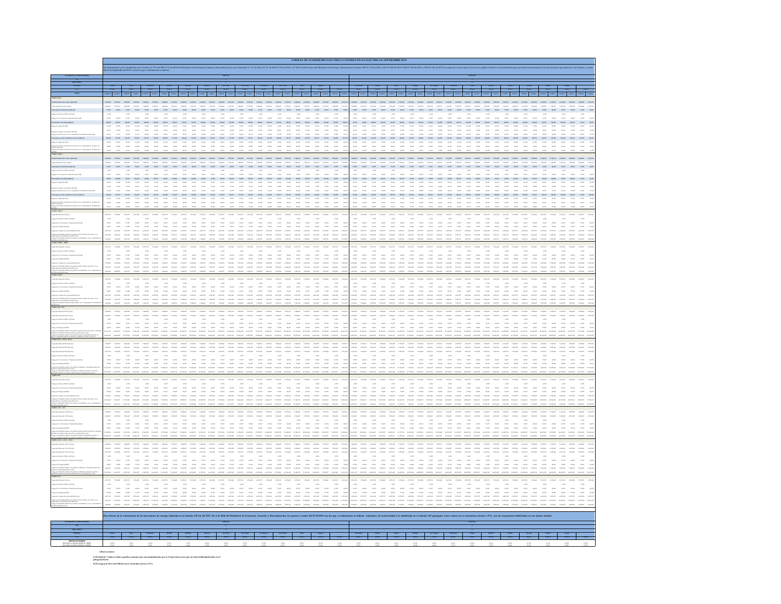|                                   |                |                   |                                                                                                                                                                                                                                                                                                                                                                                                                                        | .<br>Iad con lo establecido en el Artículo Nº 191 del DFL Nº 4 de 2006 del Minis<br>Isenbre de 2019, serán las que a continuación se indican                                                                                                                                                                    |                                                             |                                                                                                                                                                                                                                                                                                                                     |                                                                                                                                                                                   |                                                                                                                                    |                                                                    |                                                                                                                                                                                                                                   |                                                                                                                                                                                                                                                                                                                                                                                                        |                                                                                                                                                       |                                                                         |                                                                                                                                                        |                                       |                                                                                                                                                                                                                                                                                                                                                           |                                                                     |         |                                                                                                                                                                                                                                                                                  |                                                     |                                                                                                                                                                                                        |                                                                                |                                                                         |                                                                                                                                                                                                                                                                            |                                                                                                                                                                                       |                                                               |                                                                                                                                                                                                                                      |                                                                                                                 |                    |              |
|-----------------------------------|----------------|-------------------|----------------------------------------------------------------------------------------------------------------------------------------------------------------------------------------------------------------------------------------------------------------------------------------------------------------------------------------------------------------------------------------------------------------------------------------|-----------------------------------------------------------------------------------------------------------------------------------------------------------------------------------------------------------------------------------------------------------------------------------------------------------------|-------------------------------------------------------------|-------------------------------------------------------------------------------------------------------------------------------------------------------------------------------------------------------------------------------------------------------------------------------------------------------------------------------------|-----------------------------------------------------------------------------------------------------------------------------------------------------------------------------------|------------------------------------------------------------------------------------------------------------------------------------|--------------------------------------------------------------------|-----------------------------------------------------------------------------------------------------------------------------------------------------------------------------------------------------------------------------------|--------------------------------------------------------------------------------------------------------------------------------------------------------------------------------------------------------------------------------------------------------------------------------------------------------------------------------------------------------------------------------------------------------|-------------------------------------------------------------------------------------------------------------------------------------------------------|-------------------------------------------------------------------------|--------------------------------------------------------------------------------------------------------------------------------------------------------|---------------------------------------|-----------------------------------------------------------------------------------------------------------------------------------------------------------------------------------------------------------------------------------------------------------------------------------------------------------------------------------------------------------|---------------------------------------------------------------------|---------|----------------------------------------------------------------------------------------------------------------------------------------------------------------------------------------------------------------------------------------------------------------------------------|-----------------------------------------------------|--------------------------------------------------------------------------------------------------------------------------------------------------------------------------------------------------------|--------------------------------------------------------------------------------|-------------------------------------------------------------------------|----------------------------------------------------------------------------------------------------------------------------------------------------------------------------------------------------------------------------------------------------------------------------|---------------------------------------------------------------------------------------------------------------------------------------------------------------------------------------|---------------------------------------------------------------|--------------------------------------------------------------------------------------------------------------------------------------------------------------------------------------------------------------------------------------|-----------------------------------------------------------------------------------------------------------------|--------------------|--------------|
|                                   |                |                   |                                                                                                                                                                                                                                                                                                                                                                                                                                        |                                                                                                                                                                                                                                                                                                                 |                                                             |                                                                                                                                                                                                                                                                                                                                     |                                                                                                                                                                                   |                                                                                                                                    |                                                                    |                                                                                                                                                                                                                                   |                                                                                                                                                                                                                                                                                                                                                                                                        |                                                                                                                                                       |                                                                         |                                                                                                                                                        |                                       |                                                                                                                                                                                                                                                                                                                                                           |                                                                     |         |                                                                                                                                                                                                                                                                                  |                                                     |                                                                                                                                                                                                        |                                                                                |                                                                         |                                                                                                                                                                                                                                                                            |                                                                                                                                                                                       |                                                               |                                                                                                                                                                                                                                      |                                                                                                                 |                    |              |
|                                   |                |                   |                                                                                                                                                                                                                                                                                                                                                                                                                                        |                                                                                                                                                                                                                                                                                                                 |                                                             |                                                                                                                                                                                                                                                                                                                                     |                                                                                                                                                                                   |                                                                                                                                    |                                                                    |                                                                                                                                                                                                                                   |                                                                                                                                                                                                                                                                                                                                                                                                        |                                                                                                                                                       |                                                                         |                                                                                                                                                        |                                       |                                                                                                                                                                                                                                                                                                                                                           |                                                                     |         |                                                                                                                                                                                                                                                                                  |                                                     |                                                                                                                                                                                                        |                                                                                |                                                                         |                                                                                                                                                                                                                                                                            |                                                                                                                                                                                       |                                                               |                                                                                                                                                                                                                                      |                                                                                                                 |                    |              |
|                                   |                |                   |                                                                                                                                                                                                                                                                                                                                                                                                                                        |                                                                                                                                                                                                                                                                                                                 |                                                             |                                                                                                                                                                                                                                                                                                                                     |                                                                                                                                                                                   |                                                                                                                                    |                                                                    |                                                                                                                                                                                                                                   |                                                                                                                                                                                                                                                                                                                                                                                                        |                                                                                                                                                       |                                                                         |                                                                                                                                                        |                                       |                                                                                                                                                                                                                                                                                                                                                           |                                                                     |         |                                                                                                                                                                                                                                                                                  |                                                     |                                                                                                                                                                                                        |                                                                                |                                                                         |                                                                                                                                                                                                                                                                            |                                                                                                                                                                                       |                                                               |                                                                                                                                                                                                                                      |                                                                                                                 |                    |              |
|                                   |                |                   |                                                                                                                                                                                                                                                                                                                                                                                                                                        |                                                                                                                                                                                                                                                                                                                 |                                                             |                                                                                                                                                                                                                                                                                                                                     |                                                                                                                                                                                   |                                                                                                                                    |                                                                    |                                                                                                                                                                                                                                   |                                                                                                                                                                                                                                                                                                                                                                                                        |                                                                                                                                                       |                                                                         |                                                                                                                                                        |                                       |                                                                                                                                                                                                                                                                                                                                                           |                                                                     |         |                                                                                                                                                                                                                                                                                  |                                                     |                                                                                                                                                                                                        |                                                                                |                                                                         |                                                                                                                                                                                                                                                                            |                                                                                                                                                                                       |                                                               |                                                                                                                                                                                                                                      |                                                                                                                 |                    |              |
|                                   |                |                   |                                                                                                                                                                                                                                                                                                                                                                                                                                        |                                                                                                                                                                                                                                                                                                                 |                                                             |                                                                                                                                                                                                                                                                                                                                     |                                                                                                                                                                                   |                                                                                                                                    |                                                                    |                                                                                                                                                                                                                                   |                                                                                                                                                                                                                                                                                                                                                                                                        |                                                                                                                                                       |                                                                         |                                                                                                                                                        |                                       |                                                                                                                                                                                                                                                                                                                                                           |                                                                     |         |                                                                                                                                                                                                                                                                                  |                                                     |                                                                                                                                                                                                        |                                                                                |                                                                         |                                                                                                                                                                                                                                                                            |                                                                                                                                                                                       |                                                               |                                                                                                                                                                                                                                      |                                                                                                                 |                    |              |
|                                   |                |                   |                                                                                                                                                                                                                                                                                                                                                                                                                                        |                                                                                                                                                                                                                                                                                                                 |                                                             |                                                                                                                                                                                                                                                                                                                                     |                                                                                                                                                                                   |                                                                                                                                    |                                                                    |                                                                                                                                                                                                                                   |                                                                                                                                                                                                                                                                                                                                                                                                        |                                                                                                                                                       |                                                                         |                                                                                                                                                        |                                       |                                                                                                                                                                                                                                                                                                                                                           |                                                                     |         |                                                                                                                                                                                                                                                                                  |                                                     |                                                                                                                                                                                                        |                                                                                |                                                                         |                                                                                                                                                                                                                                                                            |                                                                                                                                                                                       |                                                               |                                                                                                                                                                                                                                      |                                                                                                                 |                    |              |
|                                   |                |                   |                                                                                                                                                                                                                                                                                                                                                                                                                                        |                                                                                                                                                                                                                                                                                                                 |                                                             | $\mathbf{r}_i \mathbf{e} \mathbf{r}_i = \mathbf{a}_i \mathbf{r}_i = \mathbf{r}_i \mathbf{e} \mathbf{r}_i = \mathbf{a}_i \mathbf{r}_i = \mathbf{r}_i \mathbf{e} \mathbf{r}_i = \mathbf{a}_i \mathbf{r}_i = \mathbf{r}_i \mathbf{e} \mathbf{r}_i = \mathbf{a}_i \mathbf{r}_i = \mathbf{a}_i \mathbf{r}_i = \mathbf{a}_i \mathbf{r}_i$ | ster sum                                                                                                                                                                          | $\pi_{\rm eff}$                                                                                                                    | 17,00                                                              |                                                                                                                                                                                                                                   | $17,687$                                                                                                                                                                                                                                                                                                                                                                                               | $_{\rm 25,007}$<br>$_{\rm{20,25}}$                                                                                                                    | $_{\rm 10,80}$                                                          |                                                                                                                                                        |                                       | $17,60^\circ$                                                                                                                                                                                                                                                                                                                                             | $x\mu x$                                                            |         | $\mathbf{a}_i \mathbf{m} = \mathbf{r}_i \mathbf{m} = \mathbf{a}_i \mathbf{m} = \mathbf{r}_i \mathbf{m} = \mathbf{a}_i \mathbf{m}$                                                                                                                                                | $-15.07 - 16.25$                                    | $x, w = x, x$                                                                                                                                                                                          | $\pi$                                                                          |                                                                         | <b>CAT</b>                                                                                                                                                                                                                                                                 |                                                                                                                                                                                       |                                                               |                                                                                                                                                                                                                                      |                                                                                                                 |                    |              |
|                                   |                |                   |                                                                                                                                                                                                                                                                                                                                                                                                                                        |                                                                                                                                                                                                                                                                                                                 |                                                             |                                                                                                                                                                                                                                                                                                                                     |                                                                                                                                                                                   |                                                                                                                                    |                                                                    |                                                                                                                                                                                                                                   |                                                                                                                                                                                                                                                                                                                                                                                                        |                                                                                                                                                       |                                                                         |                                                                                                                                                        |                                       | $^{4,36}_{17,67}$                                                                                                                                                                                                                                                                                                                                         |                                                                     |         |                                                                                                                                                                                                                                                                                  |                                                     |                                                                                                                                                                                                        |                                                                                |                                                                         |                                                                                                                                                                                                                                                                            |                                                                                                                                                                                       |                                                               |                                                                                                                                                                                                                                      |                                                                                                                 |                    |              |
|                                   |                |                   |                                                                                                                                                                                                                                                                                                                                                                                                                                        |                                                                                                                                                                                                                                                                                                                 |                                                             |                                                                                                                                                                                                                                                                                                                                     |                                                                                                                                                                                   |                                                                                                                                    |                                                                    |                                                                                                                                                                                                                                   |                                                                                                                                                                                                                                                                                                                                                                                                        |                                                                                                                                                       |                                                                         |                                                                                                                                                        |                                       |                                                                                                                                                                                                                                                                                                                                                           |                                                                     |         |                                                                                                                                                                                                                                                                                  |                                                     |                                                                                                                                                                                                        |                                                                                |                                                                         |                                                                                                                                                                                                                                                                            |                                                                                                                                                                                       |                                                               |                                                                                                                                                                                                                                      |                                                                                                                 |                    |              |
|                                   |                |                   | $\begin{tabular}{l cccc} \hline \multicolumn{1}{c}{\textbf{1.5.5}} & \multicolumn{1}{c}{\textbf{2.5.5}}\\ \hline \multicolumn{1}{c}{\textbf{2.5.5}} & \multicolumn{1}{c}{\textbf{2.5.5}}\\ \multicolumn{1}{c}{\textbf{3.5.5}} & \multicolumn{1}{c}{\textbf{3.5.5}}\\ \multicolumn{1}{c}{\textbf{4.5.5}} & \multicolumn{1}{c}{\textbf{5.5.5}}\\ \multicolumn{1}{c}{\textbf{5.5.5}} & \multicolumn{1}{c}{\textbf{5.5.5}}\\ \multicolumn$ | $\frac{3.79}{4.66}$                                                                                                                                                                                                                                                                                             | $\begin{array}{c} 0.08 \\ 0.13 \\ 0.28 \\ 0.24 \end{array}$ | $\begin{aligned} \mathbf{m}_i \mathbf{m}_i \\ \mathbf{m}_i \mathbf{m}_i \\ \mathbf{m}_i \mathbf{m}_i \\ \mathbf{m}_i \mathbf{m}_i \end{aligned}$<br>$\begin{array}{c} 13,09\\ -6,01\\ 14,01 \end{array}$                                                                                                                            | $\begin{aligned} 131,0031 \\ 21,0491 \\ 14,301 \end{aligned}$<br>$\frac{45420}{12411}$                                                                                            | $\begin{array}{c} 10,30 \\ 2,04 \\ 0,04 \end{array}$                                                                               | $\begin{aligned} 128,000 \\ 0.249 \\ 0.249 \\ 0.401 \end{aligned}$ | $\begin{tabular}{l c c c} \hline & 125.00 & 125.00 \\ \hline 23.20 & 25.01 \\ \hline 33.01 & 14.20 \\ \hline \end{tabular}$                                                                                                       | $\frac{300443}{71,629}$<br>$\begin{array}{r} 0.03 \\ 0.03 \\ 0.04 \\ 0.05 \\ 0.06 \end{array}$                                                                                                                                                                                                                                                                                                         | $\begin{array}{r} 131,622 \\ 31,447 \\ 31,323 \\ 31,423 \\ \end{array}$<br>$\begin{aligned} 10836 \\ 71,06 \\ 11,01 \\ 11,01 \\ 38,709 \end{aligned}$ |                                                                         |                                                                                                                                                        |                                       | $\begin{array}{r} 10,00 \\ 0.30 \\ 0.30 \\ 0.30 \\ \end{array}$                                                                                                                                                                                                                                                                                           | $\begin{array}{l} 24,044 \\ 38,031 \\ 36,337 \\ 38,373 \end{array}$ |         | $\begin{tabular}{cccc} $122 & 358 & 378 & 378 & 379 & 379 \\ $123 & 369 & 372 & 372 & 372 \\ $124 & 369 & 372 & 372 & 372 \\ $125 & 369 & 372 & 372 & 372 \\ $126 & 369 & 372 & 372 & 372 \\ \end{tabular}$                                                                      |                                                     | $\begin{tabular}{lcccc} $0.01$ & $10.06$ & $10.06$ & $10.06$ \\ $1.02$ & $10.06$ & $10.06$ & $10.06$ \\ $1.03$ & $10.06$ & $10.06$ & $10.06$ \\ $1.03$ & $10.06$ & $10.06$ & $10.06$ \\ \end{tabular}$ | $\begin{aligned} 100,001\\ 01,007\\ 01,207 \end{aligned}$<br>$\frac{m m}{m m}$ | $\begin{aligned} 115.938 \\ 0.7768 \\ 14, 217 \\ 24, 279 \end{aligned}$ | $\begin{array}{r} 130,001\\ 80,008\\ 24,208\\ 34,001 \end{array}$<br>$\begin{array}{l} 10, 40 \\ 0, 15 \\ 0, 27 \end{array}$                                                                                                                                               | $\begin{aligned} \mathbf{m},\mathbf{m}\\ \text{on } \mathbf{m}\\ \text{on } \mathbf{m} \end{aligned}$<br>$\begin{aligned} \frac{100098}{10009} \\ \frac{100098}{10009} \end{aligned}$ | $\begin{aligned} 104.299 \\ -81.699 \\ -19.298 \end{aligned}$ | $\begin{aligned} &\text{max} \\ &\text{max} \\ &\text{max} \end{aligned}$<br>$\frac{d_{\rm c}^2 \lambda B}{\lambda \lambda B^2}$                                                                                                     | $\frac{d_{\rm{IR}}}{d_{\rm{IR}}}$<br>$\frac{10,30}{10,20}$                                                      | $\frac{600}{1637}$ |              |
|                                   |                |                   |                                                                                                                                                                                                                                                                                                                                                                                                                                        |                                                                                                                                                                                                                                                                                                                 |                                                             |                                                                                                                                                                                                                                                                                                                                     |                                                                                                                                                                                   |                                                                                                                                    |                                                                    |                                                                                                                                                                                                                                   |                                                                                                                                                                                                                                                                                                                                                                                                        |                                                                                                                                                       |                                                                         |                                                                                                                                                        |                                       |                                                                                                                                                                                                                                                                                                                                                           |                                                                     |         |                                                                                                                                                                                                                                                                                  |                                                     |                                                                                                                                                                                                        |                                                                                |                                                                         |                                                                                                                                                                                                                                                                            |                                                                                                                                                                                       |                                                               |                                                                                                                                                                                                                                      |                                                                                                                 |                    |              |
|                                   |                |                   |                                                                                                                                                                                                                                                                                                                                                                                                                                        |                                                                                                                                                                                                                                                                                                                 |                                                             |                                                                                                                                                                                                                                                                                                                                     |                                                                                                                                                                                   |                                                                                                                                    |                                                                    |                                                                                                                                                                                                                                   |                                                                                                                                                                                                                                                                                                                                                                                                        |                                                                                                                                                       |                                                                         |                                                                                                                                                        |                                       |                                                                                                                                                                                                                                                                                                                                                           |                                                                     |         |                                                                                                                                                                                                                                                                                  |                                                     |                                                                                                                                                                                                        |                                                                                |                                                                         |                                                                                                                                                                                                                                                                            |                                                                                                                                                                                       |                                                               |                                                                                                                                                                                                                                      |                                                                                                                 |                    |              |
|                                   |                |                   |                                                                                                                                                                                                                                                                                                                                                                                                                                        |                                                                                                                                                                                                                                                                                                                 |                                                             |                                                                                                                                                                                                                                                                                                                                     |                                                                                                                                                                                   |                                                                                                                                    |                                                                    |                                                                                                                                                                                                                                   |                                                                                                                                                                                                                                                                                                                                                                                                        |                                                                                                                                                       |                                                                         |                                                                                                                                                        |                                       |                                                                                                                                                                                                                                                                                                                                                           |                                                                     |         |                                                                                                                                                                                                                                                                                  |                                                     |                                                                                                                                                                                                        |                                                                                |                                                                         |                                                                                                                                                                                                                                                                            |                                                                                                                                                                                       |                                                               |                                                                                                                                                                                                                                      |                                                                                                                 |                    |              |
|                                   |                |                   |                                                                                                                                                                                                                                                                                                                                                                                                                                        |                                                                                                                                                                                                                                                                                                                 |                                                             |                                                                                                                                                                                                                                                                                                                                     | $\begin{array}{ccccccccc} \lambda(0) & -\lambda(0) & -\lambda(0) & -\lambda(0) & -\lambda(0) \\ & \lambda(0) & -\lambda(0) & -\lambda(0) & -\lambda(0) & -\lambda(0) \end{array}$ |                                                                                                                                    |                                                                    | $\frac{2636}{45475}$                                                                                                                                                                                                              | $\begin{array}{ccccccccc} 3.03 & -3.08 & -3.03 & -3.08 & -3.02 \\ 3.33 & -6.32 & 3.49 & -6.66 & -5.05 \\ \end{array}$                                                                                                                                                                                                                                                                                  |                                                                                                                                                       |                                                                         | $_{\rm max}$<br>$_{\rm{RMS}}$                                                                                                                          |                                       | $\begin{array}{ccccccccc} 3400 & & 3688 & & 3600 & & 3688 \\ & 1580 & & & 4638 & & 5400 & & 6430 \end{array}$<br>$_{\rm Xd}$                                                                                                                                                                                                                              |                                                                     |         |                                                                                                                                                                                                                                                                                  |                                                     |                                                                                                                                                                                                        |                                                                                |                                                                         |                                                                                                                                                                                                                                                                            |                                                                                                                                                                                       | $\sim$                                                        | $_{\rm 2000}$                                                                                                                                                                                                                        | $\begin{array}{ccc} \scriptstyle{856} & \scriptstyle{846} \\ \scriptstyle{856} & \scriptstyle{856} \end{array}$ |                    |              |
|                                   |                |                   |                                                                                                                                                                                                                                                                                                                                                                                                                                        |                                                                                                                                                                                                                                                                                                                 |                                                             |                                                                                                                                                                                                                                                                                                                                     |                                                                                                                                                                                   |                                                                                                                                    |                                                                    |                                                                                                                                                                                                                                   |                                                                                                                                                                                                                                                                                                                                                                                                        |                                                                                                                                                       |                                                                         |                                                                                                                                                        |                                       |                                                                                                                                                                                                                                                                                                                                                           |                                                                     |         |                                                                                                                                                                                                                                                                                  |                                                     |                                                                                                                                                                                                        |                                                                                |                                                                         |                                                                                                                                                                                                                                                                            |                                                                                                                                                                                       |                                                               |                                                                                                                                                                                                                                      |                                                                                                                 |                    |              |
|                                   |                |                   |                                                                                                                                                                                                                                                                                                                                                                                                                                        | $1.64682 \qquad 2.19536 \qquad 1.64682$                                                                                                                                                                                                                                                                         |                                                             |                                                                                                                                                                                                                                                                                                                                     |                                                                                                                                                                                   |                                                                                                                                    |                                                                    |                                                                                                                                                                                                                                   |                                                                                                                                                                                                                                                                                                                                                                                                        |                                                                                                                                                       |                                                                         |                                                                                                                                                        |                                       |                                                                                                                                                                                                                                                                                                                                                           |                                                                     |         | 145.48                                                                                                                                                                                                                                                                           |                                                     |                                                                                                                                                                                                        |                                                                                |                                                                         |                                                                                                                                                                                                                                                                            |                                                                                                                                                                                       |                                                               |                                                                                                                                                                                                                                      |                                                                                                                 |                    |              |
|                                   |                |                   |                                                                                                                                                                                                                                                                                                                                                                                                                                        |                                                                                                                                                                                                                                                                                                                 |                                                             |                                                                                                                                                                                                                                                                                                                                     |                                                                                                                                                                                   |                                                                                                                                    |                                                                    | ne an ne an ne an ne an ne an ne an ne an ne an ne an ne an ne an ne an ne an ne an ne an ne                                                                                                                                      |                                                                                                                                                                                                                                                                                                                                                                                                        |                                                                                                                                                       |                                                                         |                                                                                                                                                        |                                       | $17,07$ $10,27$                                                                                                                                                                                                                                                                                                                                           | $_{\rm 25,007}$                                                     |         |                                                                                                                                                                                                                                                                                  |                                                     | ages their ages their ages their signs ages their ages their ages their ages ages ages their                                                                                                           |                                                                                |                                                                         |                                                                                                                                                                                                                                                                            |                                                                                                                                                                                       |                                                               | an ne an ne                                                                                                                                                                                                                          |                                                                                                                 |                    |              |
|                                   | 4.36           |                   | 4,90                                                                                                                                                                                                                                                                                                                                                                                                                                   | 4,30                                                                                                                                                                                                                                                                                                            |                                                             | 0,362                                                                                                                                                                                                                                                                                                                               | 4.382                                                                                                                                                                             | 4.36                                                                                                                               |                                                                    | 4,30                                                                                                                                                                                                                              | 4,362                                                                                                                                                                                                                                                                                                                                                                                                  | 4,36                                                                                                                                                  | 0.302                                                                   | 4.90                                                                                                                                                   |                                       | 4,30                                                                                                                                                                                                                                                                                                                                                      |                                                                     | 4.382   | 0,30                                                                                                                                                                                                                                                                             | 4,382                                               | 4,30                                                                                                                                                                                                   | 4,362                                                                          |                                                                         |                                                                                                                                                                                                                                                                            |                                                                                                                                                                                       |                                                               |                                                                                                                                                                                                                                      |                                                                                                                 |                    |              |
|                                   |                |                   |                                                                                                                                                                                                                                                                                                                                                                                                                                        |                                                                                                                                                                                                                                                                                                                 |                                                             |                                                                                                                                                                                                                                                                                                                                     |                                                                                                                                                                                   |                                                                                                                                    |                                                                    |                                                                                                                                                                                                                                   |                                                                                                                                                                                                                                                                                                                                                                                                        |                                                                                                                                                       |                                                                         |                                                                                                                                                        |                                       |                                                                                                                                                                                                                                                                                                                                                           |                                                                     |         |                                                                                                                                                                                                                                                                                  |                                                     |                                                                                                                                                                                                        |                                                                                |                                                                         |                                                                                                                                                                                                                                                                            |                                                                                                                                                                                       |                                                               |                                                                                                                                                                                                                                      |                                                                                                                 |                    |              |
|                                   |                |                   |                                                                                                                                                                                                                                                                                                                                                                                                                                        |                                                                                                                                                                                                                                                                                                                 |                                                             |                                                                                                                                                                                                                                                                                                                                     |                                                                                                                                                                                   |                                                                                                                                    |                                                                    |                                                                                                                                                                                                                                   |                                                                                                                                                                                                                                                                                                                                                                                                        |                                                                                                                                                       |                                                                         |                                                                                                                                                        |                                       |                                                                                                                                                                                                                                                                                                                                                           |                                                                     |         |                                                                                                                                                                                                                                                                                  |                                                     |                                                                                                                                                                                                        |                                                                                |                                                                         |                                                                                                                                                                                                                                                                            |                                                                                                                                                                                       |                                                               |                                                                                                                                                                                                                                      |                                                                                                                 |                    |              |
|                                   |                |                   |                                                                                                                                                                                                                                                                                                                                                                                                                                        |                                                                                                                                                                                                                                                                                                                 |                                                             |                                                                                                                                                                                                                                                                                                                                     |                                                                                                                                                                                   |                                                                                                                                    |                                                                    |                                                                                                                                                                                                                                   |                                                                                                                                                                                                                                                                                                                                                                                                        |                                                                                                                                                       |                                                                         |                                                                                                                                                        |                                       |                                                                                                                                                                                                                                                                                                                                                           |                                                                     |         |                                                                                                                                                                                                                                                                                  |                                                     |                                                                                                                                                                                                        |                                                                                |                                                                         |                                                                                                                                                                                                                                                                            |                                                                                                                                                                                       |                                                               |                                                                                                                                                                                                                                      |                                                                                                                 |                    |              |
|                                   |                |                   |                                                                                                                                                                                                                                                                                                                                                                                                                                        |                                                                                                                                                                                                                                                                                                                 |                                                             |                                                                                                                                                                                                                                                                                                                                     |                                                                                                                                                                                   |                                                                                                                                    |                                                                    |                                                                                                                                                                                                                                   |                                                                                                                                                                                                                                                                                                                                                                                                        |                                                                                                                                                       |                                                                         |                                                                                                                                                        |                                       |                                                                                                                                                                                                                                                                                                                                                           |                                                                     |         |                                                                                                                                                                                                                                                                                  |                                                     |                                                                                                                                                                                                        |                                                                                |                                                                         |                                                                                                                                                                                                                                                                            |                                                                                                                                                                                       |                                                               |                                                                                                                                                                                                                                      |                                                                                                                 |                    |              |
|                                   |                |                   |                                                                                                                                                                                                                                                                                                                                                                                                                                        |                                                                                                                                                                                                                                                                                                                 |                                                             |                                                                                                                                                                                                                                                                                                                                     |                                                                                                                                                                                   |                                                                                                                                    |                                                                    |                                                                                                                                                                                                                                   |                                                                                                                                                                                                                                                                                                                                                                                                        |                                                                                                                                                       |                                                                         |                                                                                                                                                        |                                       |                                                                                                                                                                                                                                                                                                                                                           |                                                                     |         |                                                                                                                                                                                                                                                                                  |                                                     |                                                                                                                                                                                                        |                                                                                |                                                                         |                                                                                                                                                                                                                                                                            |                                                                                                                                                                                       |                                                               |                                                                                                                                                                                                                                      |                                                                                                                 |                    |              |
|                                   |                |                   |                                                                                                                                                                                                                                                                                                                                                                                                                                        |                                                                                                                                                                                                                                                                                                                 |                                                             |                                                                                                                                                                                                                                                                                                                                     |                                                                                                                                                                                   |                                                                                                                                    |                                                                    |                                                                                                                                                                                                                                   |                                                                                                                                                                                                                                                                                                                                                                                                        |                                                                                                                                                       |                                                                         |                                                                                                                                                        |                                       |                                                                                                                                                                                                                                                                                                                                                           |                                                                     |         |                                                                                                                                                                                                                                                                                  |                                                     |                                                                                                                                                                                                        |                                                                                |                                                                         |                                                                                                                                                                                                                                                                            |                                                                                                                                                                                       |                                                               |                                                                                                                                                                                                                                      |                                                                                                                 |                    |              |
|                                   |                |                   |                                                                                                                                                                                                                                                                                                                                                                                                                                        | $\begin{array}{ccccccccc} 1.01, 64 & 1.01, 10 & 1.01, 66 & 1.01, 10 & 1.01, 66 & 1.01, 10 & 1.01, 66 & 1.01, 10 & 1.01, 10 & 1.01, 10 & 1.01, 10 & 1.01, 10 & 1.01 & 1.01 & 1.01 & 1.01 & 1.01 & 1.01 & 1.01 & 1.01 & 1.01 & 1.01 & 1.01 & 1.01 & 1.01 & 1.01 & 1.01 & $                                        |                                                             |                                                                                                                                                                                                                                                                                                                                     |                                                                                                                                                                                   |                                                                                                                                    |                                                                    |                                                                                                                                                                                                                                   |                                                                                                                                                                                                                                                                                                                                                                                                        |                                                                                                                                                       |                                                                         |                                                                                                                                                        |                                       |                                                                                                                                                                                                                                                                                                                                                           |                                                                     |         |                                                                                                                                                                                                                                                                                  |                                                     |                                                                                                                                                                                                        |                                                                                |                                                                         |                                                                                                                                                                                                                                                                            |                                                                                                                                                                                       |                                                               |                                                                                                                                                                                                                                      |                                                                                                                 |                    |              |
| go por Servicio Publico (E/km)    |                |                   |                                                                                                                                                                                                                                                                                                                                                                                                                                        |                                                                                                                                                                                                                                                                                                                 |                                                             |                                                                                                                                                                                                                                                                                                                                     |                                                                                                                                                                                   | $^{4,30}$                                                                                                                          |                                                                    | 4,362                                                                                                                                                                                                                             |                                                                                                                                                                                                                                                                                                                                                                                                        |                                                                                                                                                       |                                                                         |                                                                                                                                                        |                                       | 4,10                                                                                                                                                                                                                                                                                                                                                      |                                                                     | 4.362   | 4.90                                                                                                                                                                                                                                                                             |                                                     | 4,10                                                                                                                                                                                                   |                                                                                |                                                                         |                                                                                                                                                                                                                                                                            |                                                                                                                                                                                       |                                                               |                                                                                                                                                                                                                                      |                                                                                                                 |                    |              |
|                                   |                |                   |                                                                                                                                                                                                                                                                                                                                                                                                                                        |                                                                                                                                                                                                                                                                                                                 |                                                             |                                                                                                                                                                                                                                                                                                                                     |                                                                                                                                                                                   | $\begin{array}{ccccccccc} x_1x_1 & x_2x_2 & x_3x_3 & x_4x_5 & x_5x_6 \\ x_1x_2 & x_1x_3 & x_1x_2 & x_1x_2 & x_2x_3 \\ \end{array}$ |                                                                    |                                                                                                                                                                                                                                   | $\begin{tabular}{cccccc} $\mathbf{a}_1\mathbf{a}_2$ & $\mathbf{a}_2\mathbf{a}_3$ & $\mathbf{a}_3\mathbf{a}_4$ & $\mathbf{a}_4\mathbf{a}_5$ \\ $\mathbf{a}_5\mathbf{a}_6$ & $\mathbf{a}_6\mathbf{a}_6$ & $\mathbf{a}_6\mathbf{a}_6$ & $\mathbf{a}_7\mathbf{a}_7$ \\ $\mathbf{a}_7\mathbf{a}_7$ & $\mathbf{a}_7\mathbf{a}_8$ & $\mathbf{a}_8\mathbf{a}_7$ & $\mathbf{a}_7\mathbf{a}_7$ \\ \end{tabular}$ |                                                                                                                                                       | $\begin{array}{ccc} 333 & 0.07 \\ 339 & 0.07 \\ 330 & 0.07 \end{array}$ | $\begin{array}{cccc} 3(21) & 10(2) & 3(21) & 10(2) \\ 2(22) & 4(30) & 2(21) & 6(48) \\ \end{array}$                                                    |                                       |                                                                                                                                                                                                                                                                                                                                                           |                                                                     |         |                                                                                                                                                                                                                                                                                  | $\tau_{\rm GW}=-a/a$                                |                                                                                                                                                                                                        | $\frac{17,007}{19,120}$                                                        |                                                                         | $\begin{array}{ccc} \sin &= \cos &= \sin \\ \sin &= \cos &= \cos \end{array}$                                                                                                                                                                                              | 43,446                                                                                                                                                                                |                                                               | $7430 - 4639$                                                                                                                                                                                                                        |                                                                                                                 |                    |              |
|                                   |                |                   |                                                                                                                                                                                                                                                                                                                                                                                                                                        |                                                                                                                                                                                                                                                                                                                 |                                                             |                                                                                                                                                                                                                                                                                                                                     |                                                                                                                                                                                   |                                                                                                                                    |                                                                    | ana anka inter inter teles ante selle selle teles ante teles inter ante teles ante alle inter elles suite en le selle teles teles ante ante del teles inter elles teles del selle del selle del selle del selle del selle del     |                                                                                                                                                                                                                                                                                                                                                                                                        |                                                                                                                                                       |                                                                         |                                                                                                                                                        |                                       |                                                                                                                                                                                                                                                                                                                                                           |                                                                     |         |                                                                                                                                                                                                                                                                                  |                                                     |                                                                                                                                                                                                        |                                                                                |                                                                         |                                                                                                                                                                                                                                                                            |                                                                                                                                                                                       |                                                               | their their their term term will release their their term term term their their their term term term term term telm their term.<br>Their team term term term telm term telm term telm term term telm telm term term telm telm ter    |                                                                                                                 |                    |              |
|                                   |                |                   |                                                                                                                                                                                                                                                                                                                                                                                                                                        |                                                                                                                                                                                                                                                                                                                 |                                                             |                                                                                                                                                                                                                                                                                                                                     |                                                                                                                                                                                   |                                                                                                                                    |                                                                    |                                                                                                                                                                                                                                   | $1.05256 \qquad 1.145878 \qquad 1.06233 \qquad 1.25535 \qquad 1.03549 \qquad 1.16536 \qquad 1.40586$                                                                                                                                                                                                                                                                                                   |                                                                                                                                                       |                                                                         |                                                                                                                                                        | 148.78                                | 1.754.03                                                                                                                                                                                                                                                                                                                                                  |                                                                     |         |                                                                                                                                                                                                                                                                                  |                                                     |                                                                                                                                                                                                        |                                                                                |                                                                         |                                                                                                                                                                                                                                                                            |                                                                                                                                                                                       |                                                               |                                                                                                                                                                                                                                      |                                                                                                                 |                    |              |
| .<br>Na Manual Albert             |                |                   |                                                                                                                                                                                                                                                                                                                                                                                                                                        |                                                                                                                                                                                                                                                                                                                 |                                                             |                                                                                                                                                                                                                                                                                                                                     |                                                                                                                                                                                   |                                                                                                                                    |                                                                    |                                                                                                                                                                                                                                   |                                                                                                                                                                                                                                                                                                                                                                                                        |                                                                                                                                                       |                                                                         |                                                                                                                                                        |                                       |                                                                                                                                                                                                                                                                                                                                                           |                                                                     |         |                                                                                                                                                                                                                                                                                  |                                                     |                                                                                                                                                                                                        |                                                                                |                                                                         |                                                                                                                                                                                                                                                                            |                                                                                                                                                                                       |                                                               |                                                                                                                                                                                                                                      |                                                                                                                 |                    |              |
|                                   |                |                   |                                                                                                                                                                                                                                                                                                                                                                                                                                        |                                                                                                                                                                                                                                                                                                                 |                                                             |                                                                                                                                                                                                                                                                                                                                     |                                                                                                                                                                                   |                                                                                                                                    |                                                                    |                                                                                                                                                                                                                                   |                                                                                                                                                                                                                                                                                                                                                                                                        |                                                                                                                                                       |                                                                         |                                                                                                                                                        |                                       | $\begin{array}{ccccccccc} 128141 & 131544 & 138144 & 138144 & 138144 \\ & & & & & & & & 134 \\ 1342 & & & & & & & 134 \\ 1343 & & & & & & & & 134 \\ 1343 & & & & & & & & & 134 \\ 13441 & & & & & & & & & & 144 \\ 13451 & & & & & & & & & & & 145 \\ 13461 & & & & & & & & & & & 145 \\ 13461 & & & & & & & & & & & 145 \\ 13461 & & & & & & & & & & &$ |                                                                     |         |                                                                                                                                                                                                                                                                                  |                                                     |                                                                                                                                                                                                        |                                                                                |                                                                         | $\begin{array}{ccccccccc} 12500 & 184590 & 12500 & 184590 & 12500 & 184590 & 18500 & 18500 & 18500 & 18500 & 18500 & 18500 & 18500 & 18500 & 18500 & 18500 & 18500 & 18500 & 18500 & 18500 & 18500 & 18500 & 18500 & 18500 & 18500 & 18500 & 18500 & 18500 & 18500 & 1850$ |                                                                                                                                                                                       |                                                               |                                                                                                                                                                                                                                      |                                                                                                                 |                    |              |
| and the finance de To             |                |                   |                                                                                                                                                                                                                                                                                                                                                                                                                                        |                                                                                                                                                                                                                                                                                                                 |                                                             |                                                                                                                                                                                                                                                                                                                                     |                                                                                                                                                                                   |                                                                                                                                    |                                                                    |                                                                                                                                                                                                                                   |                                                                                                                                                                                                                                                                                                                                                                                                        |                                                                                                                                                       |                                                                         | $_{\rm{nm}}^{\rm{nm}}$                                                                                                                                 |                                       | $_{\rm{max}}^{_{\rm{RIN}}}$                                                                                                                                                                                                                                                                                                                               |                                                                     |         |                                                                                                                                                                                                                                                                                  |                                                     |                                                                                                                                                                                                        |                                                                                |                                                                         |                                                                                                                                                                                                                                                                            |                                                                                                                                                                                       | $_{\rm{nm}}^{\rm{nm}}$                                        | $\begin{array}{c} 2528 \\ 2580 \end{array}$<br>$\frac{1}{65}$                                                                                                                                                                        | $\frac{v_{\rm eff}}{e_{\rm eff}}$<br>$\sim 20$                                                                  |                    |              |
|                                   |                |                   |                                                                                                                                                                                                                                                                                                                                                                                                                                        |                                                                                                                                                                                                                                                                                                                 |                                                             |                                                                                                                                                                                                                                                                                                                                     |                                                                                                                                                                                   |                                                                                                                                    |                                                                    |                                                                                                                                                                                                                                   |                                                                                                                                                                                                                                                                                                                                                                                                        |                                                                                                                                                       |                                                                         |                                                                                                                                                        |                                       |                                                                                                                                                                                                                                                                                                                                                           |                                                                     |         |                                                                                                                                                                                                                                                                                  |                                                     |                                                                                                                                                                                                        |                                                                                |                                                                         |                                                                                                                                                                                                                                                                            |                                                                                                                                                                                       |                                                               | $179, 90 \qquad 4.62, 06 \qquad 1.79, 90$                                                                                                                                                                                            | $_{\rm H, H2}$                                                                                                  |                    | $_{\rm 200}$ |
|                                   |                |                   |                                                                                                                                                                                                                                                                                                                                                                                                                                        |                                                                                                                                                                                                                                                                                                                 |                                                             | .<br>That layar lawar langu layar layar lawar lawar lawar langu layar langu langu layar layar lawar langu lawar la<br>That layar lawar langu layar langu lawar lawar langu langu langu langu langu langu langu langu langu langu la                                                                                                 |                                                                                                                                                                                   |                                                                                                                                    |                                                                    |                                                                                                                                                                                                                                   | $\begin{array}{cccccc} \Delta 29427 & \Delta 20539 & \Delta 39536 & \Delta 29539 & \Delta 66599 & \Delta 96539 \end{array}$                                                                                                                                                                                                                                                                            |                                                                                                                                                       |                                                                         | $\begin{array}{ccccccccc} 1333,26 & 1333,88 & 4333,28 & 4433,28 & 4433,48 & 7443,68 \\ 4493,68 & 2433,88 & 1433,48 & 1433,48 & 1433,68 \\ \end{array}$ |                                       |                                                                                                                                                                                                                                                                                                                                                           |                                                                     |         |                                                                                                                                                                                                                                                                                  |                                                     |                                                                                                                                                                                                        |                                                                                |                                                                         |                                                                                                                                                                                                                                                                            |                                                                                                                                                                                       |                                                               | .<br>The state that the same that the state the the same and the state the same that the same the same the same the<br>The state the same that the same the same the same in the same the same that the same the same the same the s |                                                                                                                 |                    |              |
|                                   |                |                   |                                                                                                                                                                                                                                                                                                                                                                                                                                        |                                                                                                                                                                                                                                                                                                                 |                                                             |                                                                                                                                                                                                                                                                                                                                     |                                                                                                                                                                                   |                                                                                                                                    |                                                                    |                                                                                                                                                                                                                                   |                                                                                                                                                                                                                                                                                                                                                                                                        |                                                                                                                                                       |                                                                         |                                                                                                                                                        |                                       |                                                                                                                                                                                                                                                                                                                                                           |                                                                     |         |                                                                                                                                                                                                                                                                                  |                                                     |                                                                                                                                                                                                        |                                                                                |                                                                         |                                                                                                                                                                                                                                                                            |                                                                                                                                                                                       |                                                               |                                                                                                                                                                                                                                      |                                                                                                                 |                    |              |
| The Memoral (N/met                |                | $149.06 - 110.40$ |                                                                                                                                                                                                                                                                                                                                                                                                                                        |                                                                                                                                                                                                                                                                                                                 |                                                             |                                                                                                                                                                                                                                                                                                                                     |                                                                                                                                                                                   |                                                                                                                                    |                                                                    |                                                                                                                                                                                                                                   |                                                                                                                                                                                                                                                                                                                                                                                                        |                                                                                                                                                       |                                                                         |                                                                                                                                                        |                                       |                                                                                                                                                                                                                                                                                                                                                           |                                                                     |         |                                                                                                                                                                                                                                                                                  |                                                     |                                                                                                                                                                                                        |                                                                                |                                                                         |                                                                                                                                                                                                                                                                            |                                                                                                                                                                                       |                                                               |                                                                                                                                                                                                                                      |                                                                                                                 |                    |              |
| p<br>per Servicio Político (S/km) |                |                   |                                                                                                                                                                                                                                                                                                                                                                                                                                        |                                                                                                                                                                                                                                                                                                                 |                                                             |                                                                                                                                                                                                                                                                                                                                     |                                                                                                                                                                                   |                                                                                                                                    |                                                                    |                                                                                                                                                                                                                                   |                                                                                                                                                                                                                                                                                                                                                                                                        |                                                                                                                                                       |                                                                         |                                                                                                                                                        |                                       |                                                                                                                                                                                                                                                                                                                                                           |                                                                     |         |                                                                                                                                                                                                                                                                                  |                                                     |                                                                                                                                                                                                        |                                                                                |                                                                         |                                                                                                                                                                                                                                                                            |                                                                                                                                                                                       |                                                               | $\begin{array}{cccc} 0.01 & 0.02 & 0.06 \\ 0.25 & 0.07 & 0.07 & 0.07 \\ 0.03 & 0.09 & 0.08 & 0.08 \\ \end{array}$                                                                                                                    |                                                                                                                 |                    |              |
| go por Escopa (6/400)             |                |                   |                                                                                                                                                                                                                                                                                                                                                                                                                                        |                                                                                                                                                                                                                                                                                                                 |                                                             |                                                                                                                                                                                                                                                                                                                                     |                                                                                                                                                                                   |                                                                                                                                    |                                                                    |                                                                                                                                                                                                                                   |                                                                                                                                                                                                                                                                                                                                                                                                        |                                                                                                                                                       |                                                                         |                                                                                                                                                        |                                       |                                                                                                                                                                                                                                                                                                                                                           |                                                                     |         |                                                                                                                                                                                                                                                                                  |                                                     |                                                                                                                                                                                                        |                                                                                |                                                                         |                                                                                                                                                                                                                                                                            |                                                                                                                                                                                       |                                                               |                                                                                                                                                                                                                                      |                                                                                                                 |                    |              |
|                                   |                |                   |                                                                                                                                                                                                                                                                                                                                                                                                                                        | $\label{eq:10} \alpha_{\rm CMB} = \alpha_{\rm CMB} = \alpha_{\rm CMB} = \alpha_{\rm CMB} = \alpha_{\rm CMB} = \alpha_{\rm CMB} = \alpha_{\rm CMB} = \alpha_{\rm CMB} = \alpha_{\rm CMB}$                                                                                                                        |                                                             |                                                                                                                                                                                                                                                                                                                                     |                                                                                                                                                                                   |                                                                                                                                    |                                                                    |                                                                                                                                                                                                                                   |                                                                                                                                                                                                                                                                                                                                                                                                        |                                                                                                                                                       |                                                                         |                                                                                                                                                        |                                       | $12030 - 10700 = 12030$<br>$1.01,00 \qquad 1.46,00 \qquad 1.08,10 \qquad 4.05,$                                                                                                                                                                                                                                                                           |                                                                     |         |                                                                                                                                                                                                                                                                                  |                                                     | PARTIE TRANS LEPPER ANALY FOURT FRUIT SAUCE AND RELEASE AND ANOTHER SERVICE                                                                                                                            |                                                                                |                                                                         | $1.05, 08 \quad 4.49, 61 \quad 1.30, 75 \quad 1.05, 69$                                                                                                                                                                                                                    |                                                                                                                                                                                       |                                                               | 140,000 1.40,000 4.04,000                                                                                                                                                                                                            |                                                                                                                 |                    |              |
|                                   |                |                   |                                                                                                                                                                                                                                                                                                                                                                                                                                        |                                                                                                                                                                                                                                                                                                                 |                                                             |                                                                                                                                                                                                                                                                                                                                     |                                                                                                                                                                                   |                                                                                                                                    |                                                                    |                                                                                                                                                                                                                                   |                                                                                                                                                                                                                                                                                                                                                                                                        |                                                                                                                                                       |                                                                         |                                                                                                                                                        |                                       |                                                                                                                                                                                                                                                                                                                                                           |                                                                     |         |                                                                                                                                                                                                                                                                                  |                                                     |                                                                                                                                                                                                        |                                                                                |                                                                         |                                                                                                                                                                                                                                                                            |                                                                                                                                                                                       |                                                               |                                                                                                                                                                                                                                      |                                                                                                                 |                    |              |
| 111.01                            |                |                   |                                                                                                                                                                                                                                                                                                                                                                                                                                        |                                                                                                                                                                                                                                                                                                                 |                                                             |                                                                                                                                                                                                                                                                                                                                     |                                                                                                                                                                                   |                                                                                                                                    |                                                                    |                                                                                                                                                                                                                                   |                                                                                                                                                                                                                                                                                                                                                                                                        |                                                                                                                                                       |                                                                         |                                                                                                                                                        |                                       |                                                                                                                                                                                                                                                                                                                                                           |                                                                     |         |                                                                                                                                                                                                                                                                                  |                                                     |                                                                                                                                                                                                        |                                                                                |                                                                         |                                                                                                                                                                                                                                                                            |                                                                                                                                                                                       |                                                               |                                                                                                                                                                                                                                      |                                                                                                                 |                    |              |
| -<br>Fije Memoral RT3 (fy/mes     |                |                   |                                                                                                                                                                                                                                                                                                                                                                                                                                        |                                                                                                                                                                                                                                                                                                                 |                                                             |                                                                                                                                                                                                                                                                                                                                     |                                                                                                                                                                                   |                                                                                                                                    |                                                                    | inga 1959 taga 1959 taga 1950 taga 1959 taga 1959 taga 1959 taga 1959 taga 1959 taga 1959 taga 1959 taga 1959 taga<br>Taga 1959 taga 1959 taga 1950 taga 1959 taga 1959 taga 1950 taga 1950 taga 1950 taga 1950 taga 1950 taga 19 |                                                                                                                                                                                                                                                                                                                                                                                                        |                                                                                                                                                       |                                                                         |                                                                                                                                                        |                                       |                                                                                                                                                                                                                                                                                                                                                           |                                                                     |         |                                                                                                                                                                                                                                                                                  |                                                     | $19832 - 135447 - 19832 - 135447 - 19832 - 135447 - 19832 - 135447 - 14832 - 135447.$                                                                                                                  |                                                                                |                                                                         |                                                                                                                                                                                                                                                                            |                                                                                                                                                                                       |                                                               |                                                                                                                                                                                                                                      |                                                                                                                 |                    |              |
|                                   |                |                   |                                                                                                                                                                                                                                                                                                                                                                                                                                        |                                                                                                                                                                                                                                                                                                                 |                                                             |                                                                                                                                                                                                                                                                                                                                     |                                                                                                                                                                                   |                                                                                                                                    | $\frac{4.36}{17,02}$                                               |                                                                                                                                                                                                                                   |                                                                                                                                                                                                                                                                                                                                                                                                        | $\frac{0.36}{17,07}$ $\frac{1}{70,06}$                                                                                                                |                                                                         | $\begin{array}{c} 4.90 \\ 17.87 \\ 76.78 \end{array}$                                                                                                  |                                       |                                                                                                                                                                                                                                                                                                                                                           |                                                                     |         |                                                                                                                                                                                                                                                                                  |                                                     | $_{\rm 0,90}^{\rm 0,90}$ $_{\rm 20,25}^{\rm 0,90}$                                                                                                                                                     |                                                                                | $\frac{436}{1587}$                                                      | $\sim$                                                                                                                                                                                                                                                                     |                                                                                                                                                                                       |                                                               |                                                                                                                                                                                                                                      |                                                                                                                 |                    |              |
| ny Earn's (LOZO)                  |                |                   |                                                                                                                                                                                                                                                                                                                                                                                                                                        |                                                                                                                                                                                                                                                                                                                 |                                                             |                                                                                                                                                                                                                                                                                                                                     |                                                                                                                                                                                   | $\begin{array}{cc} \delta H & \\ \delta H & = 8H \\ \delta H & = 6H \end{array}$                                                   | 70, 300                                                            | $_{\rm 2025}^{203}$                                                                                                                                                                                                               | $\begin{array}{ccc} 0.94 & & & \\ 0.94 & & & \\ 0.07 & & & \\ 0.439 & & & \\ 0.439 & & & \\ \end{array}$                                                                                                                                                                                                                                                                                               | $_{\rm{nr}}^{\rm{an}}$                                                                                                                                |                                                                         |                                                                                                                                                        | 0.70                                  | $\begin{array}{c} 0.98 \\ 0.98 \\ 0.08 \\ 71,06 \end{array}$<br>$_{\rm{2,24}}^{\rm{2,24}}$                                                                                                                                                                                                                                                                |                                                                     |         | $\begin{array}{ccccccccc} 1981 & 0.01 & 0.00 & 0.00 & 0.00 & 0.00 & 0.00 & 0.00 & 0.00 & 0.00 & 0.00 & 0.00 & 0.00 & 0.00 & 0.00 & 0.00 & 0.00 & 0.00 & 0.00 & 0.00 & 0.00 & 0.00 & 0.00 & 0.00 & 0.00 & 0.00 & 0.00 & 0.00 & 0.00 & 0.00 & 0.00 & 0.00 & 0.00 & 0.00 & 0.00 & $ | $\begin{array}{c} 4.90 \\ 0.02 \\ 0.03 \end{array}$ | $\begin{array}{ccc} & & & \mbox{~~\footnotesize\textrm{mm}}\\ 3323 & & 3587\\ 8324 & & 6546\\ \end{array}$<br>80.36                                                                                    | $\frac{6.36}{17,60^o}$<br>2024                                                 | $-47.956$                                                               | ALAN<br>5.139                                                                                                                                                                                                                                                              | cas.                                                                                                                                                                                  | some.                                                         | $20.65$                                                                                                                                                                                                                              |                                                                                                                 |                    |              |
|                                   |                |                   |                                                                                                                                                                                                                                                                                                                                                                                                                                        |                                                                                                                                                                                                                                                                                                                 |                                                             |                                                                                                                                                                                                                                                                                                                                     |                                                                                                                                                                                   |                                                                                                                                    |                                                                    |                                                                                                                                                                                                                                   |                                                                                                                                                                                                                                                                                                                                                                                                        |                                                                                                                                                       |                                                                         |                                                                                                                                                        |                                       |                                                                                                                                                                                                                                                                                                                                                           |                                                                     |         | NAME WARE INCOME RUNAL PLACE WALLS FOR                                                                                                                                                                                                                                           |                                                     |                                                                                                                                                                                                        |                                                                                |                                                                         |                                                                                                                                                                                                                                                                            |                                                                                                                                                                                       |                                                               |                                                                                                                                                                                                                                      |                                                                                                                 |                    |              |
|                                   |                |                   |                                                                                                                                                                                                                                                                                                                                                                                                                                        |                                                                                                                                                                                                                                                                                                                 |                                                             |                                                                                                                                                                                                                                                                                                                                     |                                                                                                                                                                                   |                                                                                                                                    |                                                                    |                                                                                                                                                                                                                                   |                                                                                                                                                                                                                                                                                                                                                                                                        |                                                                                                                                                       |                                                                         |                                                                                                                                                        |                                       |                                                                                                                                                                                                                                                                                                                                                           |                                                                     |         |                                                                                                                                                                                                                                                                                  |                                                     |                                                                                                                                                                                                        |                                                                                |                                                                         |                                                                                                                                                                                                                                                                            |                                                                                                                                                                                       |                                                               |                                                                                                                                                                                                                                      |                                                                                                                 |                    |              |
| <b>De Monad ES 25/mm</b>          |                |                   |                                                                                                                                                                                                                                                                                                                                                                                                                                        |                                                                                                                                                                                                                                                                                                                 |                                                             |                                                                                                                                                                                                                                                                                                                                     |                                                                                                                                                                                   |                                                                                                                                    |                                                                    |                                                                                                                                                                                                                                   |                                                                                                                                                                                                                                                                                                                                                                                                        |                                                                                                                                                       |                                                                         |                                                                                                                                                        |                                       |                                                                                                                                                                                                                                                                                                                                                           |                                                                     |         | $2.998322 \qquad 2.836467 \qquad 2.998332 \qquad 2.836467$                                                                                                                                                                                                                       |                                                     |                                                                                                                                                                                                        |                                                                                |                                                                         |                                                                                                                                                                                                                                                                            |                                                                                                                                                                                       |                                                               |                                                                                                                                                                                                                                      |                                                                                                                 |                    |              |
|                                   |                |                   |                                                                                                                                                                                                                                                                                                                                                                                                                                        |                                                                                                                                                                                                                                                                                                                 |                                                             |                                                                                                                                                                                                                                                                                                                                     | $138546 = 247178 = 338546$                                                                                                                                                        | 2.676356                                                                                                                           | 2470, 476<br>3.95,40                                               | 3.185,480                                                                                                                                                                                                                         | $149338 \qquad 136540 \qquad 149338$                                                                                                                                                                                                                                                                                                                                                                   | 3.50,40                                                                                                                                               |                                                                         |                                                                                                                                                        |                                       | $2.69, 136 - 3.165$                                                                                                                                                                                                                                                                                                                                       |                                                                     |         | $10046 \pm 14038 \pm 10046 \pm 14038 \pm 10046 \pm 14038$                                                                                                                                                                                                                        |                                                     | $1.05460 \qquad 2.67533 \qquad 3.35540$                                                                                                                                                                | $1470, 256$                                                                    |                                                                         |                                                                                                                                                                                                                                                                            |                                                                                                                                                                                       |                                                               |                                                                                                                                                                                                                                      |                                                                                                                 |                    |              |
|                                   |                |                   |                                                                                                                                                                                                                                                                                                                                                                                                                                        |                                                                                                                                                                                                                                                                                                                 |                                                             |                                                                                                                                                                                                                                                                                                                                     |                                                                                                                                                                                   |                                                                                                                                    |                                                                    |                                                                                                                                                                                                                                   | 6,362                                                                                                                                                                                                                                                                                                                                                                                                  |                                                                                                                                                       |                                                                         |                                                                                                                                                        |                                       |                                                                                                                                                                                                                                                                                                                                                           |                                                                     |         |                                                                                                                                                                                                                                                                                  |                                                     |                                                                                                                                                                                                        |                                                                                |                                                                         |                                                                                                                                                                                                                                                                            |                                                                                                                                                                                       |                                                               |                                                                                                                                                                                                                                      |                                                                                                                 |                    |              |
|                                   |                |                   |                                                                                                                                                                                                                                                                                                                                                                                                                                        |                                                                                                                                                                                                                                                                                                                 |                                                             |                                                                                                                                                                                                                                                                                                                                     |                                                                                                                                                                                   |                                                                                                                                    |                                                                    |                                                                                                                                                                                                                                   |                                                                                                                                                                                                                                                                                                                                                                                                        |                                                                                                                                                       | $\begin{array}{ccc} n m & n m \\ n m & n m \end{array}$                 |                                                                                                                                                        |                                       | $\begin{array}{cccc} 436 & 436 \\ 1587 & 3536 & 1587 & 3536 \\ 3337 & 4536 & 7546 & 4639 \end{array}$                                                                                                                                                                                                                                                     |                                                                     |         |                                                                                                                                                                                                                                                                                  |                                                     |                                                                                                                                                                                                        |                                                                                |                                                                         | $6000 - 9000 - 6000$                                                                                                                                                                                                                                                       |                                                                                                                                                                                       |                                                               |                                                                                                                                                                                                                                      |                                                                                                                 |                    |              |
|                                   |                |                   |                                                                                                                                                                                                                                                                                                                                                                                                                                        |                                                                                                                                                                                                                                                                                                                 |                                                             |                                                                                                                                                                                                                                                                                                                                     |                                                                                                                                                                                   |                                                                                                                                    |                                                                    |                                                                                                                                                                                                                                   |                                                                                                                                                                                                                                                                                                                                                                                                        |                                                                                                                                                       |                                                                         |                                                                                                                                                        | $10.98, 40 = 4.40, 50. \label{eq:10}$ | 120.5                                                                                                                                                                                                                                                                                                                                                     |                                                                     |         |                                                                                                                                                                                                                                                                                  |                                                     |                                                                                                                                                                                                        |                                                                                |                                                                         |                                                                                                                                                                                                                                                                            |                                                                                                                                                                                       |                                                               |                                                                                                                                                                                                                                      |                                                                                                                 |                    |              |
|                                   |                |                   |                                                                                                                                                                                                                                                                                                                                                                                                                                        |                                                                                                                                                                                                                                                                                                                 |                                                             |                                                                                                                                                                                                                                                                                                                                     |                                                                                                                                                                                   |                                                                                                                                    |                                                                    |                                                                                                                                                                                                                                   |                                                                                                                                                                                                                                                                                                                                                                                                        |                                                                                                                                                       |                                                                         |                                                                                                                                                        |                                       |                                                                                                                                                                                                                                                                                                                                                           |                                                                     |         |                                                                                                                                                                                                                                                                                  |                                                     |                                                                                                                                                                                                        |                                                                                |                                                                         |                                                                                                                                                                                                                                                                            |                                                                                                                                                                                       |                                                               |                                                                                                                                                                                                                                      |                                                                                                                 |                    |              |
|                                   |                |                   |                                                                                                                                                                                                                                                                                                                                                                                                                                        | $130,40 \qquad 147,13 \qquad 130,40 \qquad 147,13 \qquad 110,40 \qquad 147,13 \qquad 130,40 \qquad 147,13$                                                                                                                                                                                                      |                                                             |                                                                                                                                                                                                                                                                                                                                     |                                                                                                                                                                                   |                                                                                                                                    |                                                                    |                                                                                                                                                                                                                                   |                                                                                                                                                                                                                                                                                                                                                                                                        |                                                                                                                                                       |                                                                         |                                                                                                                                                        |                                       |                                                                                                                                                                                                                                                                                                                                                           |                                                                     |         | $14535 - 13646 = 14535$                                                                                                                                                                                                                                                          |                                                     | 3.95,40<br>$^{4,30}$                                                                                                                                                                                   |                                                                                |                                                                         |                                                                                                                                                                                                                                                                            |                                                                                                                                                                                       |                                                               |                                                                                                                                                                                                                                      |                                                                                                                 |                    |              |
|                                   |                |                   |                                                                                                                                                                                                                                                                                                                                                                                                                                        |                                                                                                                                                                                                                                                                                                                 |                                                             |                                                                                                                                                                                                                                                                                                                                     |                                                                                                                                                                                   |                                                                                                                                    |                                                                    |                                                                                                                                                                                                                                   |                                                                                                                                                                                                                                                                                                                                                                                                        |                                                                                                                                                       |                                                                         |                                                                                                                                                        |                                       |                                                                                                                                                                                                                                                                                                                                                           |                                                                     |         |                                                                                                                                                                                                                                                                                  |                                                     |                                                                                                                                                                                                        |                                                                                |                                                                         |                                                                                                                                                                                                                                                                            |                                                                                                                                                                                       |                                                               |                                                                                                                                                                                                                                      |                                                                                                                 |                    |              |
|                                   |                |                   |                                                                                                                                                                                                                                                                                                                                                                                                                                        |                                                                                                                                                                                                                                                                                                                 |                                                             |                                                                                                                                                                                                                                                                                                                                     |                                                                                                                                                                                   |                                                                                                                                    | 4.30                                                               |                                                                                                                                                                                                                                   |                                                                                                                                                                                                                                                                                                                                                                                                        |                                                                                                                                                       |                                                                         |                                                                                                                                                        | $-49,750$                             | 75,60<br>74.570                                                                                                                                                                                                                                                                                                                                           |                                                                     |         | $\label{eq:10} 20(63) \qquad 35(63) \qquad 65(64) \qquad 25(33) \qquad 66(65) \qquad 25(35) \qquad 67(35) \qquad 65(65) \qquad 65(66)$                                                                                                                                           |                                                     |                                                                                                                                                                                                        |                                                                                |                                                                         |                                                                                                                                                                                                                                                                            |                                                                                                                                                                                       |                                                               |                                                                                                                                                                                                                                      |                                                                                                                 |                    |              |
|                                   |                |                   |                                                                                                                                                                                                                                                                                                                                                                                                                                        | TANK DALEY CONNE MANAGE COUNT SANCE CARLOS DATA                                                                                                                                                                                                                                                                 |                                                             |                                                                                                                                                                                                                                                                                                                                     |                                                                                                                                                                                   |                                                                                                                                    |                                                                    |                                                                                                                                                                                                                                   |                                                                                                                                                                                                                                                                                                                                                                                                        |                                                                                                                                                       |                                                                         |                                                                                                                                                        |                                       | 10,65,4%                                                                                                                                                                                                                                                                                                                                                  |                                                                     |         | ente masse neces annes nanos nesces                                                                                                                                                                                                                                              |                                                     |                                                                                                                                                                                                        |                                                                                |                                                                         |                                                                                                                                                                                                                                                                            |                                                                                                                                                                                       |                                                               |                                                                                                                                                                                                                                      |                                                                                                                 |                    |              |
|                                   |                |                   |                                                                                                                                                                                                                                                                                                                                                                                                                                        |                                                                                                                                                                                                                                                                                                                 |                                                             |                                                                                                                                                                                                                                                                                                                                     |                                                                                                                                                                                   |                                                                                                                                    |                                                                    |                                                                                                                                                                                                                                   |                                                                                                                                                                                                                                                                                                                                                                                                        |                                                                                                                                                       |                                                                         |                                                                                                                                                        |                                       |                                                                                                                                                                                                                                                                                                                                                           |                                                                     |         |                                                                                                                                                                                                                                                                                  |                                                     |                                                                                                                                                                                                        |                                                                                |                                                                         |                                                                                                                                                                                                                                                                            |                                                                                                                                                                                       |                                                               |                                                                                                                                                                                                                                      |                                                                                                                 |                    |              |
|                                   |                |                   |                                                                                                                                                                                                                                                                                                                                                                                                                                        |                                                                                                                                                                                                                                                                                                                 |                                                             |                                                                                                                                                                                                                                                                                                                                     |                                                                                                                                                                                   |                                                                                                                                    |                                                                    |                                                                                                                                                                                                                                   |                                                                                                                                                                                                                                                                                                                                                                                                        |                                                                                                                                                       |                                                                         |                                                                                                                                                        |                                       |                                                                                                                                                                                                                                                                                                                                                           |                                                                     |         |                                                                                                                                                                                                                                                                                  |                                                     |                                                                                                                                                                                                        |                                                                                |                                                                         |                                                                                                                                                                                                                                                                            |                                                                                                                                                                                       |                                                               |                                                                                                                                                                                                                                      |                                                                                                                 |                    |              |
| p Fije Menessel AZ I-(I) mes)     |                |                   |                                                                                                                                                                                                                                                                                                                                                                                                                                        | $\label{eq:1.1} 1.0040 \qquad 2.00150 \qquad 1.0040 \qquad 1.00150 \qquad 1.00460 \qquad 1.01550 \qquad 1.00460 \qquad 1.00550 \qquad 1.00460 \qquad 1.00460 \qquad 1.00460 \qquad 1.00460 \qquad 1.00460 \qquad 1.00460 \qquad 1.00460 \qquad 1.00460 \qquad 1.00460 \qquad 1.00460 \qquad 1.00460 \qquad 1.0$ |                                                             |                                                                                                                                                                                                                                                                                                                                     |                                                                                                                                                                                   |                                                                                                                                    |                                                                    |                                                                                                                                                                                                                                   |                                                                                                                                                                                                                                                                                                                                                                                                        |                                                                                                                                                       |                                                                         |                                                                                                                                                        |                                       | $140, 12 - 130, 67 - 140, 52$                                                                                                                                                                                                                                                                                                                             |                                                                     |         | $1.09532 \qquad 1.03847 \qquad 1.09532 \qquad 1.03847 \qquad 1.00532 \qquad 1.03847$                                                                                                                                                                                             |                                                     |                                                                                                                                                                                                        |                                                                                |                                                                         |                                                                                                                                                                                                                                                                            |                                                                                                                                                                                       |                                                               |                                                                                                                                                                                                                                      |                                                                                                                 |                    |              |
|                                   |                |                   |                                                                                                                                                                                                                                                                                                                                                                                                                                        |                                                                                                                                                                                                                                                                                                                 |                                                             |                                                                                                                                                                                                                                                                                                                                     |                                                                                                                                                                                   |                                                                                                                                    |                                                                    |                                                                                                                                                                                                                                   |                                                                                                                                                                                                                                                                                                                                                                                                        |                                                                                                                                                       |                                                                         |                                                                                                                                                        |                                       | $\overline{a}$<br>$\frac{20.25}{20.48}$                                                                                                                                                                                                                                                                                                                   |                                                                     |         |                                                                                                                                                                                                                                                                                  |                                                     |                                                                                                                                                                                                        |                                                                                |                                                                         |                                                                                                                                                                                                                                                                            |                                                                                                                                                                                       |                                                               |                                                                                                                                                                                                                                      |                                                                                                                 |                    |              |
|                                   |                |                   |                                                                                                                                                                                                                                                                                                                                                                                                                                        |                                                                                                                                                                                                                                                                                                                 |                                                             |                                                                                                                                                                                                                                                                                                                                     |                                                                                                                                                                                   | $\mathcal{H}(\Omega) = -0.70 \qquad \mathcal{H}(\Omega) = -0.30$                                                                   |                                                                    |                                                                                                                                                                                                                                   |                                                                                                                                                                                                                                                                                                                                                                                                        |                                                                                                                                                       |                                                                         |                                                                                                                                                        |                                       |                                                                                                                                                                                                                                                                                                                                                           |                                                                     |         |                                                                                                                                                                                                                                                                                  |                                                     |                                                                                                                                                                                                        |                                                                                |                                                                         | 2001 2005 2006                                                                                                                                                                                                                                                             |                                                                                                                                                                                       |                                                               |                                                                                                                                                                                                                                      |                                                                                                                 |                    |              |
|                                   |                |                   |                                                                                                                                                                                                                                                                                                                                                                                                                                        |                                                                                                                                                                                                                                                                                                                 |                                                             | WAS DEPERT REPORT TRANS CONTROL WARENT WARRENT ON THE COUNTRY REPORT OF THE WARRENT WARRENT WARRENT WARRENT WARRENT WARRENT WARRENT WARRENT WARRENT WARRENT WARRENT WARRENT WARRENT WARRENT WARRENT WARRENT WARRENT WARRENT WA                                                                                                      |                                                                                                                                                                                   |                                                                                                                                    |                                                                    |                                                                                                                                                                                                                                   |                                                                                                                                                                                                                                                                                                                                                                                                        |                                                                                                                                                       |                                                                         |                                                                                                                                                        |                                       |                                                                                                                                                                                                                                                                                                                                                           |                                                                     |         | ane seam arons thate aren't thates aren't setter aren't                                                                                                                                                                                                                          |                                                     |                                                                                                                                                                                                        |                                                                                |                                                                         |                                                                                                                                                                                                                                                                            |                                                                                                                                                                                       |                                                               |                                                                                                                                                                                                                                      |                                                                                                                 |                    |              |
|                                   |                |                   |                                                                                                                                                                                                                                                                                                                                                                                                                                        |                                                                                                                                                                                                                                                                                                                 |                                                             |                                                                                                                                                                                                                                                                                                                                     |                                                                                                                                                                                   |                                                                                                                                    |                                                                    |                                                                                                                                                                                                                                   |                                                                                                                                                                                                                                                                                                                                                                                                        |                                                                                                                                                       |                                                                         |                                                                                                                                                        |                                       |                                                                                                                                                                                                                                                                                                                                                           |                                                                     |         |                                                                                                                                                                                                                                                                                  |                                                     |                                                                                                                                                                                                        |                                                                                |                                                                         |                                                                                                                                                                                                                                                                            |                                                                                                                                                                                       |                                                               |                                                                                                                                                                                                                                      |                                                                                                                 |                    |              |
|                                   |                |                   |                                                                                                                                                                                                                                                                                                                                                                                                                                        |                                                                                                                                                                                                                                                                                                                 |                                                             |                                                                                                                                                                                                                                                                                                                                     |                                                                                                                                                                                   |                                                                                                                                    |                                                                    |                                                                                                                                                                                                                                   |                                                                                                                                                                                                                                                                                                                                                                                                        |                                                                                                                                                       |                                                                         |                                                                                                                                                        |                                       |                                                                                                                                                                                                                                                                                                                                                           |                                                                     |         |                                                                                                                                                                                                                                                                                  |                                                     |                                                                                                                                                                                                        |                                                                                |                                                                         |                                                                                                                                                                                                                                                                            |                                                                                                                                                                                       |                                                               |                                                                                                                                                                                                                                      |                                                                                                                 |                    |              |
| Pip Memori AT&5 (K)mes            |                |                   |                                                                                                                                                                                                                                                                                                                                                                                                                                        |                                                                                                                                                                                                                                                                                                                 |                                                             | 330,40                                                                                                                                                                                                                                                                                                                              |                                                                                                                                                                                   |                                                                                                                                    |                                                                    |                                                                                                                                                                                                                                   |                                                                                                                                                                                                                                                                                                                                                                                                        |                                                                                                                                                       |                                                                         |                                                                                                                                                        |                                       | $\begin{array}{cccc} 1.00331 & 1.03347 & 1.0033 \\ 1.01440 & 2.47333 & 1.0146 \end{array}$                                                                                                                                                                                                                                                                |                                                                     |         | $\begin{tabular}{cccccc} 1.00331 & 1.03447 & 1.00533 & 1.00547 & 1.00533 \\ 1.01441 & 1.01358 & 1.00544 & 1.01535 & 1.01440 \\ \end{tabular}$                                                                                                                                    |                                                     |                                                                                                                                                                                                        |                                                                                |                                                                         |                                                                                                                                                                                                                                                                            |                                                                                                                                                                                       |                                                               |                                                                                                                                                                                                                                      |                                                                                                                 |                    |              |
|                                   | $_{\rm{R,87}}$ |                   |                                                                                                                                                                                                                                                                                                                                                                                                                                        |                                                                                                                                                                                                                                                                                                                 |                                                             |                                                                                                                                                                                                                                                                                                                                     |                                                                                                                                                                                   |                                                                                                                                    |                                                                    |                                                                                                                                                                                                                                   |                                                                                                                                                                                                                                                                                                                                                                                                        |                                                                                                                                                       |                                                                         | $\begin{array}{cccc} 0.99 & 0.99 \\ 0.23 & 15.07 & 0.23 & 15.07 \\ 20.23 & 0.507 & 20.23 & 0.99 \\ \end{array}$                                        |                                       |                                                                                                                                                                                                                                                                                                                                                           |                                                                     |         |                                                                                                                                                                                                                                                                                  |                                                     |                                                                                                                                                                                                        |                                                                                |                                                                         |                                                                                                                                                                                                                                                                            |                                                                                                                                                                                       |                                                               |                                                                                                                                                                                                                                      |                                                                                                                 |                    |              |
|                                   |                |                   |                                                                                                                                                                                                                                                                                                                                                                                                                                        |                                                                                                                                                                                                                                                                                                                 |                                                             |                                                                                                                                                                                                                                                                                                                                     |                                                                                                                                                                                   |                                                                                                                                    |                                                                    | $\mathcal{R}(0) = \mathcal{R}(0) = \mathcal{R}(0) = \mathcal{R}(0) = \mathcal{R}(0) = \mathcal{R}(0) = \mathcal{R}(0) = \mathcal{R}(0) = \mathcal{R}(0) = \mathcal{R}(0)$                                                         |                                                                                                                                                                                                                                                                                                                                                                                                        |                                                                                                                                                       |                                                                         |                                                                                                                                                        |                                       | $\frac{20.25}{20.48}$                                                                                                                                                                                                                                                                                                                                     |                                                                     |         |                                                                                                                                                                                                                                                                                  |                                                     |                                                                                                                                                                                                        |                                                                                |                                                                         | $75.03$ $75.96$ $65.26$ $65.66$                                                                                                                                                                                                                                            |                                                                                                                                                                                       | 74,500                                                        |                                                                                                                                                                                                                                      | $3,10 - 4,05$                                                                                                   |                    |              |
|                                   |                |                   |                                                                                                                                                                                                                                                                                                                                                                                                                                        |                                                                                                                                                                                                                                                                                                                 |                                                             |                                                                                                                                                                                                                                                                                                                                     |                                                                                                                                                                                   |                                                                                                                                    |                                                                    |                                                                                                                                                                                                                                   |                                                                                                                                                                                                                                                                                                                                                                                                        |                                                                                                                                                       |                                                                         |                                                                                                                                                        |                                       |                                                                                                                                                                                                                                                                                                                                                           |                                                                     |         |                                                                                                                                                                                                                                                                                  |                                                     |                                                                                                                                                                                                        |                                                                                |                                                                         |                                                                                                                                                                                                                                                                            |                                                                                                                                                                                       |                                                               |                                                                                                                                                                                                                                      |                                                                                                                 |                    |              |
|                                   |                |                   |                                                                                                                                                                                                                                                                                                                                                                                                                                        |                                                                                                                                                                                                                                                                                                                 |                                                             |                                                                                                                                                                                                                                                                                                                                     |                                                                                                                                                                                   |                                                                                                                                    |                                                                    |                                                                                                                                                                                                                                   |                                                                                                                                                                                                                                                                                                                                                                                                        |                                                                                                                                                       |                                                                         |                                                                                                                                                        |                                       |                                                                                                                                                                                                                                                                                                                                                           |                                                                     |         |                                                                                                                                                                                                                                                                                  |                                                     |                                                                                                                                                                                                        |                                                                                |                                                                         |                                                                                                                                                                                                                                                                            |                                                                                                                                                                                       |                                                               |                                                                                                                                                                                                                                      |                                                                                                                 |                    |              |
|                                   | $_{\rm 0.30}$  |                   | $^{4,36}$                                                                                                                                                                                                                                                                                                                                                                                                                              |                                                                                                                                                                                                                                                                                                                 |                                                             |                                                                                                                                                                                                                                                                                                                                     |                                                                                                                                                                                   |                                                                                                                                    |                                                                    |                                                                                                                                                                                                                                   |                                                                                                                                                                                                                                                                                                                                                                                                        |                                                                                                                                                       |                                                                         |                                                                                                                                                        |                                       |                                                                                                                                                                                                                                                                                                                                                           |                                                                     | 4.362   |                                                                                                                                                                                                                                                                                  |                                                     |                                                                                                                                                                                                        |                                                                                |                                                                         |                                                                                                                                                                                                                                                                            |                                                                                                                                                                                       |                                                               |                                                                                                                                                                                                                                      |                                                                                                                 |                    |              |
|                                   |                |                   |                                                                                                                                                                                                                                                                                                                                                                                                                                        |                                                                                                                                                                                                                                                                                                                 |                                                             |                                                                                                                                                                                                                                                                                                                                     |                                                                                                                                                                                   |                                                                                                                                    |                                                                    |                                                                                                                                                                                                                                   |                                                                                                                                                                                                                                                                                                                                                                                                        |                                                                                                                                                       |                                                                         |                                                                                                                                                        |                                       |                                                                                                                                                                                                                                                                                                                                                           |                                                                     |         |                                                                                                                                                                                                                                                                                  |                                                     |                                                                                                                                                                                                        |                                                                                |                                                                         |                                                                                                                                                                                                                                                                            |                                                                                                                                                                                       |                                                               |                                                                                                                                                                                                                                      |                                                                                                                 |                    |              |
|                                   |                |                   |                                                                                                                                                                                                                                                                                                                                                                                                                                        | 75.65<br><b>COL</b>                                                                                                                                                                                                                                                                                             | 2010                                                        | $_{\rm max}$                                                                                                                                                                                                                                                                                                                        |                                                                                                                                                                                   |                                                                                                                                    |                                                                    |                                                                                                                                                                                                                                   |                                                                                                                                                                                                                                                                                                                                                                                                        |                                                                                                                                                       |                                                                         |                                                                                                                                                        |                                       | $\alpha$ or                                                                                                                                                                                                                                                                                                                                               |                                                                     | nas war | $\sim$<br>6.80                                                                                                                                                                                                                                                                   |                                                     |                                                                                                                                                                                                        |                                                                                |                                                                         |                                                                                                                                                                                                                                                                            |                                                                                                                                                                                       |                                                               |                                                                                                                                                                                                                                      |                                                                                                                 |                    |              |
|                                   |                |                   |                                                                                                                                                                                                                                                                                                                                                                                                                                        | NASE THIS MAKE WANT THIS WANT UNCE THE REAL                                                                                                                                                                                                                                                                     |                                                             |                                                                                                                                                                                                                                                                                                                                     |                                                                                                                                                                                   |                                                                                                                                    |                                                                    |                                                                                                                                                                                                                                   |                                                                                                                                                                                                                                                                                                                                                                                                        |                                                                                                                                                       |                                                                         |                                                                                                                                                        |                                       |                                                                                                                                                                                                                                                                                                                                                           |                                                                     |         |                                                                                                                                                                                                                                                                                  |                                                     |                                                                                                                                                                                                        |                                                                                |                                                                         |                                                                                                                                                                                                                                                                            |                                                                                                                                                                                       |                                                               |                                                                                                                                                                                                                                      |                                                                                                                 |                    |              |
|                                   |                |                   |                                                                                                                                                                                                                                                                                                                                                                                                                                        |                                                                                                                                                                                                                                                                                                                 |                                                             |                                                                                                                                                                                                                                                                                                                                     |                                                                                                                                                                                   |                                                                                                                                    |                                                                    |                                                                                                                                                                                                                                   |                                                                                                                                                                                                                                                                                                                                                                                                        |                                                                                                                                                       |                                                                         |                                                                                                                                                        |                                       |                                                                                                                                                                                                                                                                                                                                                           |                                                                     |         |                                                                                                                                                                                                                                                                                  |                                                     |                                                                                                                                                                                                        |                                                                                |                                                                         |                                                                                                                                                                                                                                                                            |                                                                                                                                                                                       |                                                               |                                                                                                                                                                                                                                      |                                                                                                                 |                    |              |
|                                   |                |                   |                                                                                                                                                                                                                                                                                                                                                                                                                                        |                                                                                                                                                                                                                                                                                                                 |                                                             |                                                                                                                                                                                                                                                                                                                                     |                                                                                                                                                                                   |                                                                                                                                    |                                                                    |                                                                                                                                                                                                                                   |                                                                                                                                                                                                                                                                                                                                                                                                        |                                                                                                                                                       |                                                                         |                                                                                                                                                        |                                       |                                                                                                                                                                                                                                                                                                                                                           |                                                                     |         |                                                                                                                                                                                                                                                                                  |                                                     |                                                                                                                                                                                                        |                                                                                |                                                                         |                                                                                                                                                                                                                                                                            |                                                                                                                                                                                       |                                                               |                                                                                                                                                                                                                                      |                                                                                                                 |                    |              |
|                                   |                |                   |                                                                                                                                                                                                                                                                                                                                                                                                                                        |                                                                                                                                                                                                                                                                                                                 |                                                             |                                                                                                                                                                                                                                                                                                                                     |                                                                                                                                                                                   |                                                                                                                                    |                                                                    |                                                                                                                                                                                                                                   |                                                                                                                                                                                                                                                                                                                                                                                                        |                                                                                                                                                       |                                                                         |                                                                                                                                                        |                                       |                                                                                                                                                                                                                                                                                                                                                           |                                                                     |         |                                                                                                                                                                                                                                                                                  |                                                     |                                                                                                                                                                                                        |                                                                                |                                                                         |                                                                                                                                                                                                                                                                            |                                                                                                                                                                                       |                                                               |                                                                                                                                                                                                                                      |                                                                                                                 |                    |              |
|                                   |                |                   |                                                                                                                                                                                                                                                                                                                                                                                                                                        |                                                                                                                                                                                                                                                                                                                 |                                                             |                                                                                                                                                                                                                                                                                                                                     |                                                                                                                                                                                   |                                                                                                                                    |                                                                    |                                                                                                                                                                                                                                   |                                                                                                                                                                                                                                                                                                                                                                                                        |                                                                                                                                                       |                                                                         |                                                                                                                                                        |                                       |                                                                                                                                                                                                                                                                                                                                                           |                                                                     |         |                                                                                                                                                                                                                                                                                  |                                                     |                                                                                                                                                                                                        |                                                                                |                                                                         |                                                                                                                                                                                                                                                                            |                                                                                                                                                                                       |                                                               |                                                                                                                                                                                                                                      |                                                                                                                 |                    |              |
|                                   |                |                   |                                                                                                                                                                                                                                                                                                                                                                                                                                        |                                                                                                                                                                                                                                                                                                                 |                                                             |                                                                                                                                                                                                                                                                                                                                     |                                                                                                                                                                                   |                                                                                                                                    |                                                                    |                                                                                                                                                                                                                                   |                                                                                                                                                                                                                                                                                                                                                                                                        |                                                                                                                                                       |                                                                         |                                                                                                                                                        |                                       |                                                                                                                                                                                                                                                                                                                                                           |                                                                     |         |                                                                                                                                                                                                                                                                                  |                                                     |                                                                                                                                                                                                        |                                                                                |                                                                         |                                                                                                                                                                                                                                                                            |                                                                                                                                                                                       |                                                               |                                                                                                                                                                                                                                      |                                                                                                                 |                    |              |
|                                   |                |                   |                                                                                                                                                                                                                                                                                                                                                                                                                                        |                                                                                                                                                                                                                                                                                                                 |                                                             |                                                                                                                                                                                                                                                                                                                                     |                                                                                                                                                                                   |                                                                                                                                    |                                                                    |                                                                                                                                                                                                                                   |                                                                                                                                                                                                                                                                                                                                                                                                        |                                                                                                                                                       |                                                                         |                                                                                                                                                        |                                       |                                                                                                                                                                                                                                                                                                                                                           |                                                                     |         |                                                                                                                                                                                                                                                                                  |                                                     |                                                                                                                                                                                                        |                                                                                |                                                                         |                                                                                                                                                                                                                                                                            |                                                                                                                                                                                       |                                                               |                                                                                                                                                                                                                                      |                                                                                                                 |                    |              |
|                                   |                |                   |                                                                                                                                                                                                                                                                                                                                                                                                                                        |                                                                                                                                                                                                                                                                                                                 |                                                             |                                                                                                                                                                                                                                                                                                                                     |                                                                                                                                                                                   |                                                                                                                                    |                                                                    |                                                                                                                                                                                                                                   |                                                                                                                                                                                                                                                                                                                                                                                                        |                                                                                                                                                       |                                                                         |                                                                                                                                                        |                                       |                                                                                                                                                                                                                                                                                                                                                           |                                                                     |         |                                                                                                                                                                                                                                                                                  |                                                     |                                                                                                                                                                                                        |                                                                                |                                                                         |                                                                                                                                                                                                                                                                            |                                                                                                                                                                                       |                                                               |                                                                                                                                                                                                                                      |                                                                                                                 |                    |              |
|                                   |                |                   |                                                                                                                                                                                                                                                                                                                                                                                                                                        |                                                                                                                                                                                                                                                                                                                 |                                                             |                                                                                                                                                                                                                                                                                                                                     |                                                                                                                                                                                   |                                                                                                                                    |                                                                    |                                                                                                                                                                                                                                   |                                                                                                                                                                                                                                                                                                                                                                                                        |                                                                                                                                                       |                                                                         |                                                                                                                                                        |                                       |                                                                                                                                                                                                                                                                                                                                                           |                                                                     |         |                                                                                                                                                                                                                                                                                  |                                                     |                                                                                                                                                                                                        |                                                                                |                                                                         |                                                                                                                                                                                                                                                                            |                                                                                                                                                                                       |                                                               |                                                                                                                                                                                                                                      |                                                                                                                 |                    |              |

**Observaciones**

3) El símbolo "infica a todas aquellas comunas que son suntrieiradas por la Cooperativa pero que no estan inficidualizadas en el<br>pliego tarifario<br>2) El Cargo por Servicio Público no se encuentra afecto a IVA